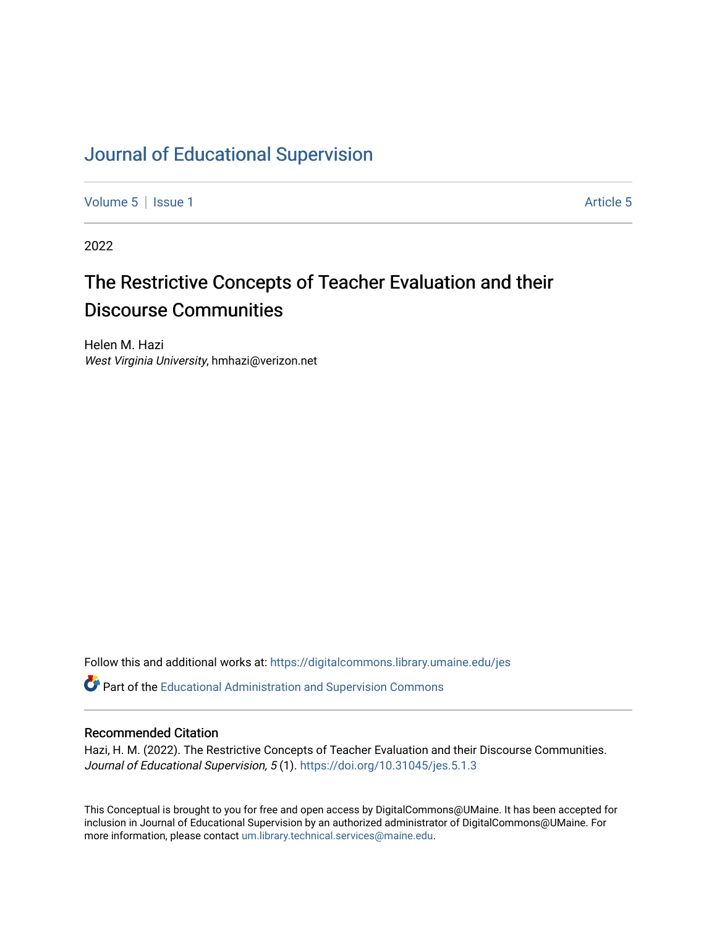# [Journal of Educational Supervision](https://digitalcommons.library.umaine.edu/jes)

[Volume 5](https://digitalcommons.library.umaine.edu/jes/vol5) | [Issue 1](https://digitalcommons.library.umaine.edu/jes/vol5/iss1) Article 5

2022

# The Restrictive Concepts of Teacher Evaluation and their Discourse Communities

Helen M. Hazi West Virginia University, hmhazi@verizon.net

Follow this and additional works at: [https://digitalcommons.library.umaine.edu/jes](https://digitalcommons.library.umaine.edu/jes?utm_source=digitalcommons.library.umaine.edu%2Fjes%2Fvol5%2Fiss1%2F5&utm_medium=PDF&utm_campaign=PDFCoverPages)

Part of the [Educational Administration and Supervision Commons](http://network.bepress.com/hgg/discipline/787?utm_source=digitalcommons.library.umaine.edu%2Fjes%2Fvol5%2Fiss1%2F5&utm_medium=PDF&utm_campaign=PDFCoverPages)

#### Recommended Citation

Hazi, H. M. (2022). The Restrictive Concepts of Teacher Evaluation and their Discourse Communities. Journal of Educational Supervision, 5 (1).<https://doi.org/10.31045/jes.5.1.3>

This Conceptual is brought to you for free and open access by DigitalCommons@UMaine. It has been accepted for inclusion in Journal of Educational Supervision by an authorized administrator of DigitalCommons@UMaine. For more information, please contact [um.library.technical.services@maine.edu](mailto:um.library.technical.services@maine.edu).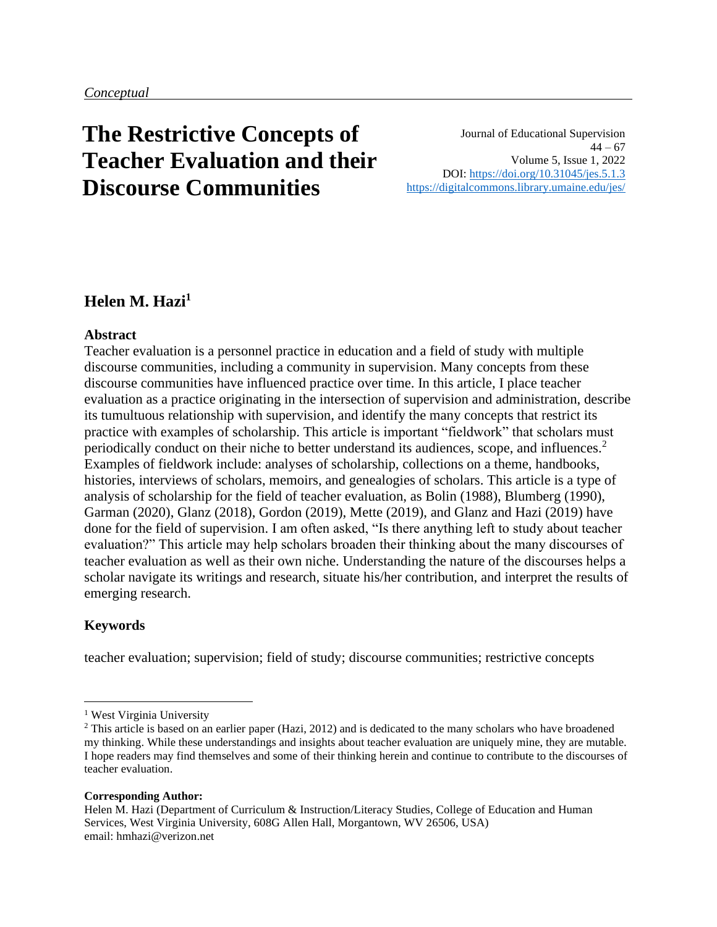# **The Restrictive Concepts of Teacher Evaluation and their Discourse Communities**

Journal of Educational Supervision  $44 - 67$ Volume 5, Issue 1, 2022 DOI:<https://doi.org/10.31045/jes.5.1.3> <https://digitalcommons.library.umaine.edu/jes/>

# **Helen M. Hazi<sup>1</sup>**

#### **Abstract**

Teacher evaluation is a personnel practice in education and a field of study with multiple discourse communities, including a community in supervision. Many concepts from these discourse communities have influenced practice over time. In this article, I place teacher evaluation as a practice originating in the intersection of supervision and administration, describe its tumultuous relationship with supervision, and identify the many concepts that restrict its practice with examples of scholarship. This article is important "fieldwork" that scholars must periodically conduct on their niche to better understand its audiences, scope, and influences.<sup>2</sup> Examples of fieldwork include: analyses of scholarship, collections on a theme, handbooks, histories, interviews of scholars, memoirs, and genealogies of scholars. This article is a type of analysis of scholarship for the field of teacher evaluation, as Bolin (1988), Blumberg (1990), Garman (2020), Glanz (2018), Gordon (2019), Mette (2019), and Glanz and Hazi (2019) have done for the field of supervision. I am often asked, "Is there anything left to study about teacher evaluation?" This article may help scholars broaden their thinking about the many discourses of teacher evaluation as well as their own niche. Understanding the nature of the discourses helps a scholar navigate its writings and research, situate his/her contribution, and interpret the results of emerging research.

#### **Keywords**

teacher evaluation; supervision; field of study; discourse communities; restrictive concepts

#### **Corresponding Author:**

Helen M. Hazi (Department of Curriculum & Instruction/Literacy Studies, College of Education and Human Services, West Virginia University, 608G Allen Hall, Morgantown, WV 26506, USA) email: hmhazi@verizon.net

<sup>&</sup>lt;sup>1</sup> West Virginia University

<sup>&</sup>lt;sup>2</sup> This article is based on an earlier paper (Hazi, 2012) and is dedicated to the many scholars who have broadened my thinking. While these understandings and insights about teacher evaluation are uniquely mine, they are mutable. I hope readers may find themselves and some of their thinking herein and continue to contribute to the discourses of teacher evaluation.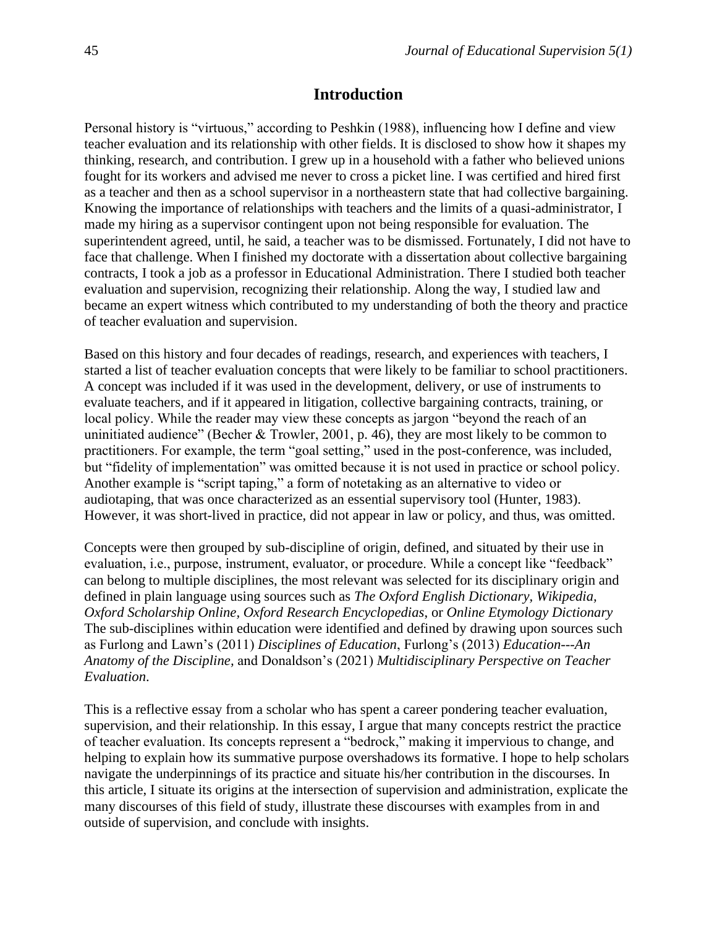#### **Introduction**

Personal history is "virtuous," according to Peshkin (1988), influencing how I define and view teacher evaluation and its relationship with other fields. It is disclosed to show how it shapes my thinking, research, and contribution. I grew up in a household with a father who believed unions fought for its workers and advised me never to cross a picket line. I was certified and hired first as a teacher and then as a school supervisor in a northeastern state that had collective bargaining. Knowing the importance of relationships with teachers and the limits of a quasi-administrator, I made my hiring as a supervisor contingent upon not being responsible for evaluation. The superintendent agreed, until, he said, a teacher was to be dismissed. Fortunately, I did not have to face that challenge. When I finished my doctorate with a dissertation about collective bargaining contracts, I took a job as a professor in Educational Administration. There I studied both teacher evaluation and supervision, recognizing their relationship. Along the way, I studied law and became an expert witness which contributed to my understanding of both the theory and practice of teacher evaluation and supervision.

Based on this history and four decades of readings, research, and experiences with teachers, I started a list of teacher evaluation concepts that were likely to be familiar to school practitioners. A concept was included if it was used in the development, delivery, or use of instruments to evaluate teachers, and if it appeared in litigation, collective bargaining contracts, training, or local policy. While the reader may view these concepts as jargon "beyond the reach of an uninitiated audience" (Becher & Trowler, 2001, p. 46), they are most likely to be common to practitioners. For example, the term "goal setting," used in the post-conference, was included, but "fidelity of implementation" was omitted because it is not used in practice or school policy. Another example is "script taping," a form of notetaking as an alternative to video or audiotaping, that was once characterized as an essential supervisory tool (Hunter, 1983). However, it was short-lived in practice, did not appear in law or policy, and thus, was omitted.

Concepts were then grouped by sub-discipline of origin, defined, and situated by their use in evaluation, i.e., purpose, instrument, evaluator, or procedure. While a concept like "feedback" can belong to multiple disciplines, the most relevant was selected for its disciplinary origin and defined in plain language using sources such as *The Oxford English Dictionary, Wikipedia, Oxford Scholarship Online, Oxford Research Encyclopedias*, or *Online Etymology Dictionary*  The sub-disciplines within education were identified and defined by drawing upon sources such as Furlong and Lawn's (2011) *Disciplines of Education*, Furlong's (2013) *Education---An Anatomy of the Discipline,* and Donaldson's (2021) *Multidisciplinary Perspective on Teacher Evaluation*.

This is a reflective essay from a scholar who has spent a career pondering teacher evaluation, supervision, and their relationship. In this essay, I argue that many concepts restrict the practice of teacher evaluation. Its concepts represent a "bedrock," making it impervious to change, and helping to explain how its summative purpose overshadows its formative. I hope to help scholars navigate the underpinnings of its practice and situate his/her contribution in the discourses. In this article, I situate its origins at the intersection of supervision and administration, explicate the many discourses of this field of study, illustrate these discourses with examples from in and outside of supervision, and conclude with insights.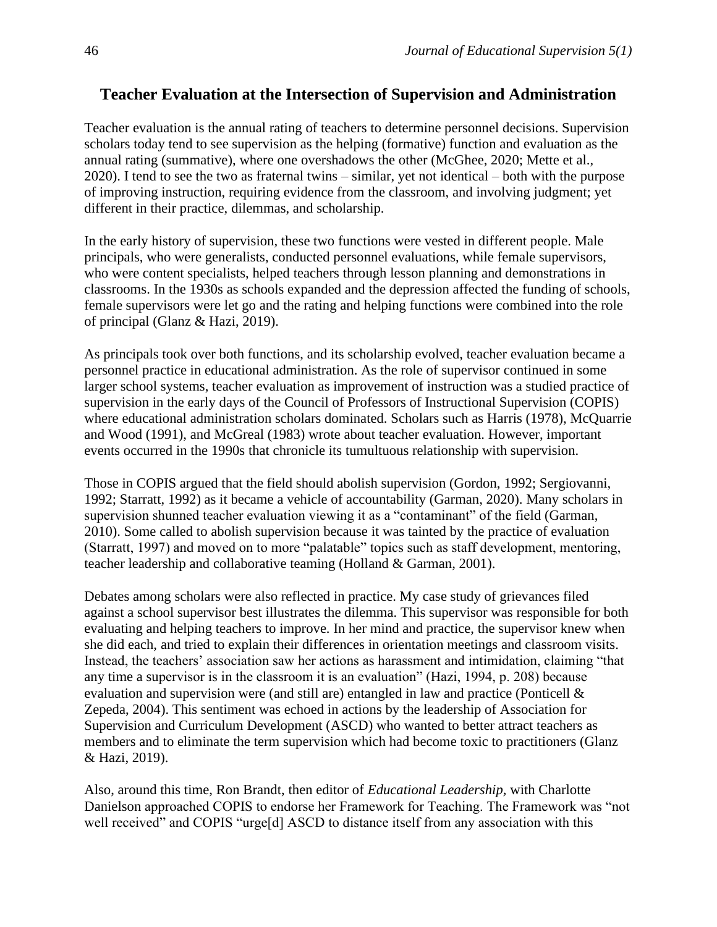## **Teacher Evaluation at the Intersection of Supervision and Administration**

Teacher evaluation is the annual rating of teachers to determine personnel decisions. Supervision scholars today tend to see supervision as the helping (formative) function and evaluation as the annual rating (summative), where one overshadows the other (McGhee, 2020; Mette et al., 2020). I tend to see the two as fraternal twins – similar, yet not identical – both with the purpose of improving instruction, requiring evidence from the classroom, and involving judgment; yet different in their practice, dilemmas, and scholarship.

In the early history of supervision, these two functions were vested in different people. Male principals, who were generalists, conducted personnel evaluations, while female supervisors, who were content specialists, helped teachers through lesson planning and demonstrations in classrooms. In the 1930s as schools expanded and the depression affected the funding of schools, female supervisors were let go and the rating and helping functions were combined into the role of principal (Glanz & Hazi, 2019).

As principals took over both functions, and its scholarship evolved, teacher evaluation became a personnel practice in educational administration. As the role of supervisor continued in some larger school systems, teacher evaluation as improvement of instruction was a studied practice of supervision in the early days of the Council of Professors of Instructional Supervision (COPIS) where educational administration scholars dominated. Scholars such as Harris (1978), McQuarrie and Wood (1991), and McGreal (1983) wrote about teacher evaluation. However, important events occurred in the 1990s that chronicle its tumultuous relationship with supervision.

Those in COPIS argued that the field should abolish supervision (Gordon, 1992; Sergiovanni, 1992; Starratt, 1992) as it became a vehicle of accountability (Garman, 2020). Many scholars in supervision shunned teacher evaluation viewing it as a "contaminant" of the field (Garman, 2010). Some called to abolish supervision because it was tainted by the practice of evaluation (Starratt, 1997) and moved on to more "palatable" topics such as staff development, mentoring, teacher leadership and collaborative teaming (Holland & Garman, 2001).

Debates among scholars were also reflected in practice. My case study of grievances filed against a school supervisor best illustrates the dilemma. This supervisor was responsible for both evaluating and helping teachers to improve. In her mind and practice, the supervisor knew when she did each, and tried to explain their differences in orientation meetings and classroom visits. Instead, the teachers' association saw her actions as harassment and intimidation, claiming "that any time a supervisor is in the classroom it is an evaluation" (Hazi, 1994, p. 208) because evaluation and supervision were (and still are) entangled in law and practice (Ponticell & Zepeda, 2004). This sentiment was echoed in actions by the leadership of Association for Supervision and Curriculum Development (ASCD) who wanted to better attract teachers as members and to eliminate the term supervision which had become toxic to practitioners (Glanz & Hazi, 2019).

Also, around this time, Ron Brandt, then editor of *Educational Leadership,* with Charlotte Danielson approached COPIS to endorse her Framework for Teaching. The Framework was "not well received" and COPIS "urge[d] ASCD to distance itself from any association with this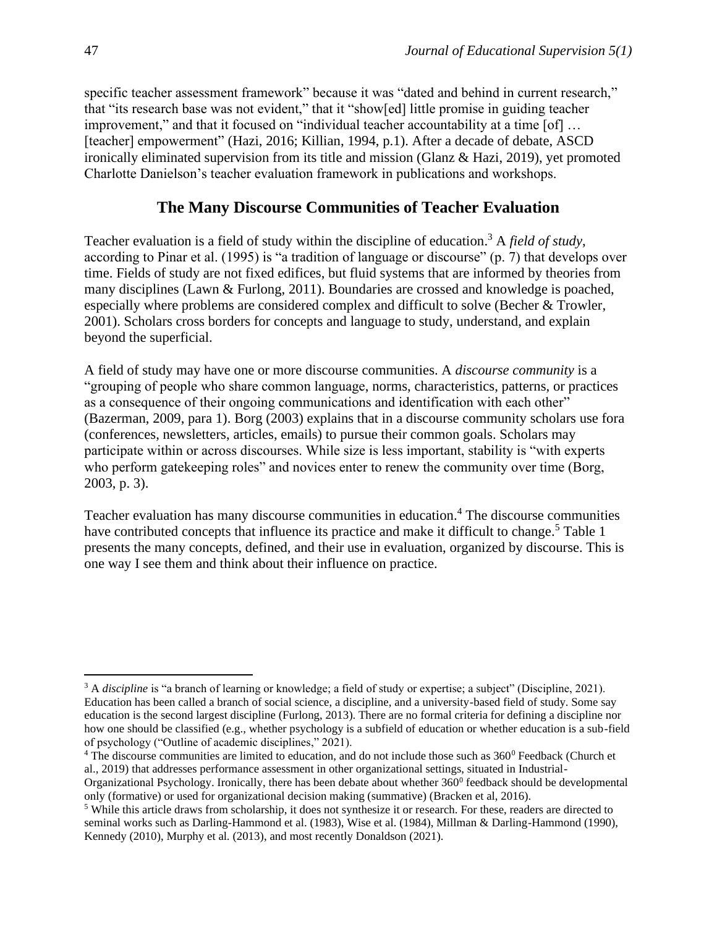specific teacher assessment framework" because it was "dated and behind in current research," that "its research base was not evident," that it "show[ed] little promise in guiding teacher improvement," and that it focused on "individual teacher accountability at a time [of] ... [teacher] empowerment" (Hazi, 2016; Killian, 1994, p.1). After a decade of debate, ASCD ironically eliminated supervision from its title and mission (Glanz & Hazi, 2019), yet promoted Charlotte Danielson's teacher evaluation framework in publications and workshops.

#### **The Many Discourse Communities of Teacher Evaluation**

Teacher evaluation is a field of study within the discipline of education. <sup>3</sup> A *field of study*, according to Pinar et al. (1995) is "a tradition of language or discourse" (p. 7) that develops over time. Fields of study are not fixed edifices, but fluid systems that are informed by theories from many disciplines (Lawn & Furlong, 2011). Boundaries are crossed and knowledge is poached, especially where problems are considered complex and difficult to solve (Becher & Trowler, 2001). Scholars cross borders for concepts and language to study, understand, and explain beyond the superficial.

A field of study may have one or more discourse communities. A *discourse community* is a "grouping of people who share common language, norms, characteristics, patterns, or practices as a consequence of their ongoing communications and identification with each other" (Bazerman, 2009, para 1). Borg (2003) explains that in a discourse community scholars use fora (conferences, newsletters, articles, emails) to pursue their common goals. Scholars may participate within or across discourses. While size is less important, stability is "with experts who perform gate keeping roles" and novices enter to renew the community over time (Borg, 2003, p. 3).

Teacher evaluation has many discourse communities in education. <sup>4</sup> The discourse communities have contributed concepts that influence its practice and make it difficult to change.<sup>5</sup> Table 1 presents the many concepts, defined, and their use in evaluation, organized by discourse. This is one way I see them and think about their influence on practice.

<sup>&</sup>lt;sup>3</sup> A *discipline* is "a branch of learning or knowledge; a field of study or expertise; a subject" (Discipline, 2021). Education has been called a branch of social science, a discipline, and a university-based field of study. Some say education is the second largest discipline (Furlong, 2013). There are no formal criteria for defining a discipline nor how one should be classified (e.g., whether psychology is a subfield of education or whether education is a sub-field of psychology ("Outline of academic disciplines," 2021).

 $4$  The discourse communities are limited to education, and do not include those such as  $360^{\circ}$  Feedback (Church et al., 2019) that addresses performance assessment in other organizational settings, situated in Industrial-

Organizational Psychology. Ironically, there has been debate about whether 360<sup>0</sup> feedback should be developmental only (formative) or used for organizational decision making (summative) (Bracken et al, 2016).

<sup>&</sup>lt;sup>5</sup> While this article draws from scholarship, it does not synthesize it or research. For these, readers are directed to seminal works such as Darling-Hammond et al. (1983), Wise et al. (1984), Millman & Darling-Hammond (1990), Kennedy (2010), Murphy et al. (2013), and most recently Donaldson (2021).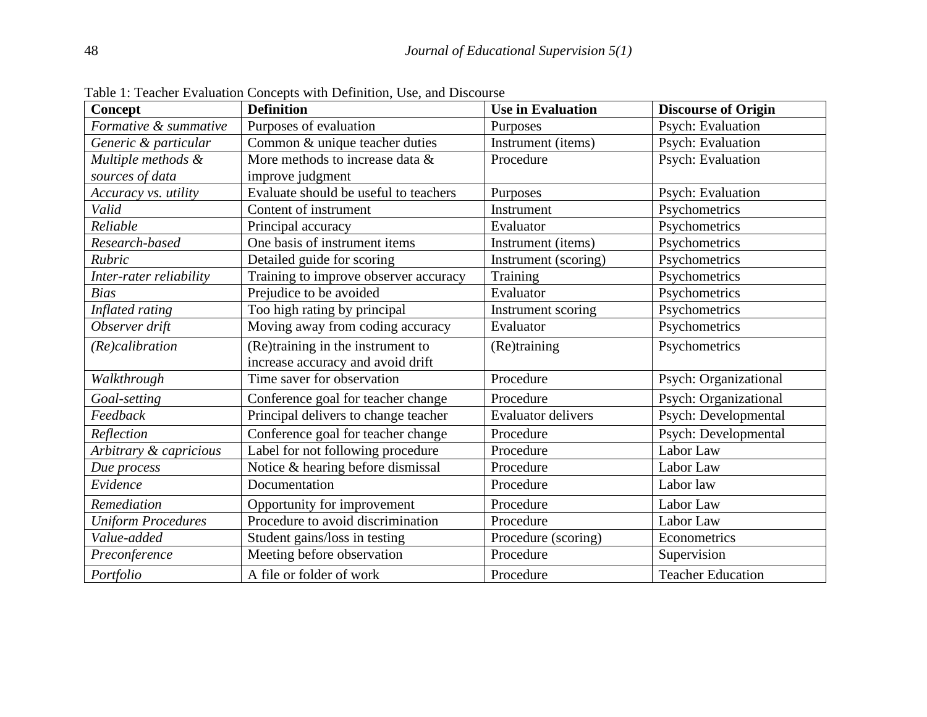| Concept                   | <b>Definition</b>                     | <b>Use in Evaluation</b>  | <b>Discourse of Origin</b> |
|---------------------------|---------------------------------------|---------------------------|----------------------------|
| Formative & summative     | Purposes of evaluation                | Purposes                  | Psych: Evaluation          |
| Generic & particular      | Common & unique teacher duties        | Instrument (items)        | Psych: Evaluation          |
| Multiple methods &        | More methods to increase data &       | Procedure                 | Psych: Evaluation          |
| sources of data           | improve judgment                      |                           |                            |
| Accuracy vs. utility      | Evaluate should be useful to teachers | Purposes                  | Psych: Evaluation          |
| Valid                     | Content of instrument                 | Instrument                | Psychometrics              |
| Reliable                  | Principal accuracy                    | Evaluator                 | Psychometrics              |
| Research-based            | One basis of instrument items         | Instrument (items)        | Psychometrics              |
| Rubric                    | Detailed guide for scoring            | Instrument (scoring)      | Psychometrics              |
| Inter-rater reliability   | Training to improve observer accuracy | Training                  | Psychometrics              |
| <b>Bias</b>               | Prejudice to be avoided               | Evaluator                 | Psychometrics              |
| Inflated rating           | Too high rating by principal          | Instrument scoring        | Psychometrics              |
| Observer drift            | Moving away from coding accuracy      | Evaluator                 | Psychometrics              |
| (Re)calibration           | (Re)training in the instrument to     | (Re)training              | Psychometrics              |
|                           | increase accuracy and avoid drift     |                           |                            |
| Walkthrough               | Time saver for observation            | Procedure                 | Psych: Organizational      |
| Goal-setting              | Conference goal for teacher change    | Procedure                 | Psych: Organizational      |
| Feedback                  | Principal delivers to change teacher  | <b>Evaluator delivers</b> | Psych: Developmental       |
| Reflection                | Conference goal for teacher change    | Procedure                 | Psych: Developmental       |
| Arbitrary & capricious    | Label for not following procedure     | Procedure                 | Labor Law                  |
| Due process               | Notice & hearing before dismissal     | Procedure                 | Labor Law                  |
| Evidence                  | Documentation                         | Procedure                 | Labor law                  |
| Remediation               | Opportunity for improvement           | Procedure                 | Labor Law                  |
| <b>Uniform Procedures</b> | Procedure to avoid discrimination     | Procedure                 | Labor Law                  |
| Value-added               | Student gains/loss in testing         | Procedure (scoring)       | Econometrics               |
| Preconference             | Meeting before observation            | Procedure                 | Supervision                |
| Portfolio                 | A file or folder of work              | Procedure                 | <b>Teacher Education</b>   |

Table 1: Teacher Evaluation Concepts with Definition, Use, and Discourse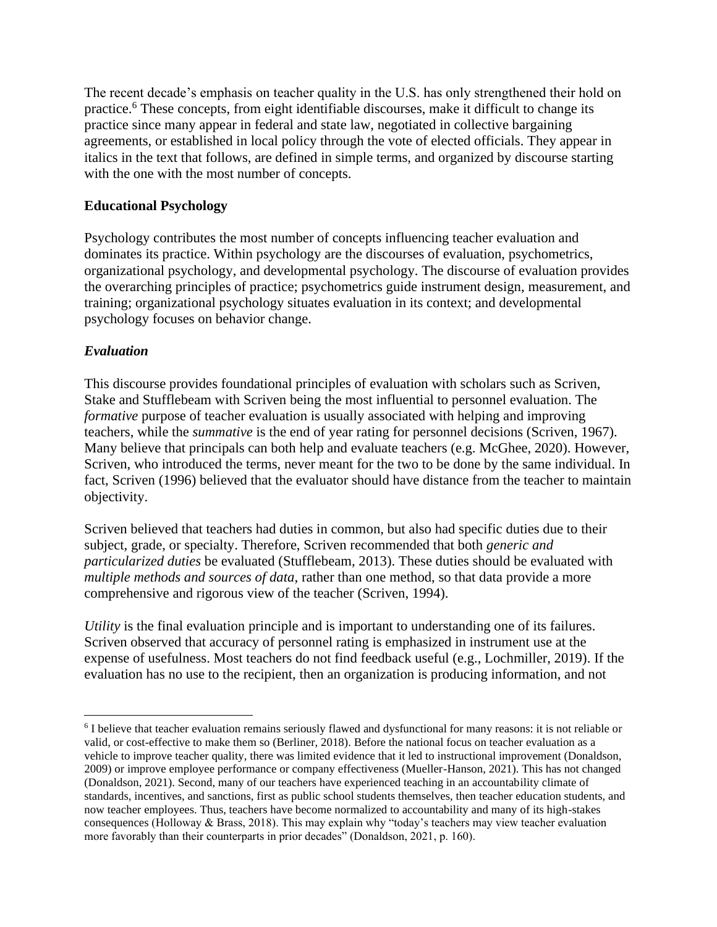The recent decade's emphasis on teacher quality in the U.S. has only strengthened their hold on practice.<sup>6</sup> These concepts, from eight identifiable discourses, make it difficult to change its practice since many appear in federal and state law, negotiated in collective bargaining agreements, or established in local policy through the vote of elected officials. They appear in italics in the text that follows, are defined in simple terms, and organized by discourse starting with the one with the most number of concepts.

#### **Educational Psychology**

Psychology contributes the most number of concepts influencing teacher evaluation and dominates its practice. Within psychology are the discourses of evaluation, psychometrics, organizational psychology, and developmental psychology. The discourse of evaluation provides the overarching principles of practice; psychometrics guide instrument design, measurement, and training; organizational psychology situates evaluation in its context; and developmental psychology focuses on behavior change.

#### *Evaluation*

This discourse provides foundational principles of evaluation with scholars such as Scriven, Stake and Stufflebeam with Scriven being the most influential to personnel evaluation. The *formative* purpose of teacher evaluation is usually associated with helping and improving teachers, while the *summative* is the end of year rating for personnel decisions (Scriven, 1967). Many believe that principals can both help and evaluate teachers (e.g. McGhee, 2020). However, Scriven, who introduced the terms, never meant for the two to be done by the same individual. In fact, Scriven (1996) believed that the evaluator should have distance from the teacher to maintain objectivity.

Scriven believed that teachers had duties in common, but also had specific duties due to their subject, grade, or specialty. Therefore, Scriven recommended that both *generic and particularized duties* be evaluated (Stufflebeam, 2013). These duties should be evaluated with *multiple methods and sources of data*, rather than one method, so that data provide a more comprehensive and rigorous view of the teacher (Scriven, 1994).

*Utility* is the final evaluation principle and is important to understanding one of its failures. Scriven observed that accuracy of personnel rating is emphasized in instrument use at the expense of usefulness. Most teachers do not find feedback useful (e.g., Lochmiller, 2019). If the evaluation has no use to the recipient, then an organization is producing information, and not

<sup>&</sup>lt;sup>6</sup> I believe that teacher evaluation remains seriously flawed and dysfunctional for many reasons: it is not reliable or valid, or cost-effective to make them so (Berliner, 2018). Before the national focus on teacher evaluation as a vehicle to improve teacher quality, there was limited evidence that it led to instructional improvement (Donaldson, 2009) or improve employee performance or company effectiveness (Mueller-Hanson, 2021). This has not changed (Donaldson, 2021). Second, many of our teachers have experienced teaching in an accountability climate of standards, incentives, and sanctions, first as public school students themselves, then teacher education students, and now teacher employees. Thus, teachers have become normalized to accountability and many of its high-stakes consequences (Holloway & Brass, 2018). This may explain why "today's teachers may view teacher evaluation more favorably than their counterparts in prior decades" (Donaldson, 2021, p. 160).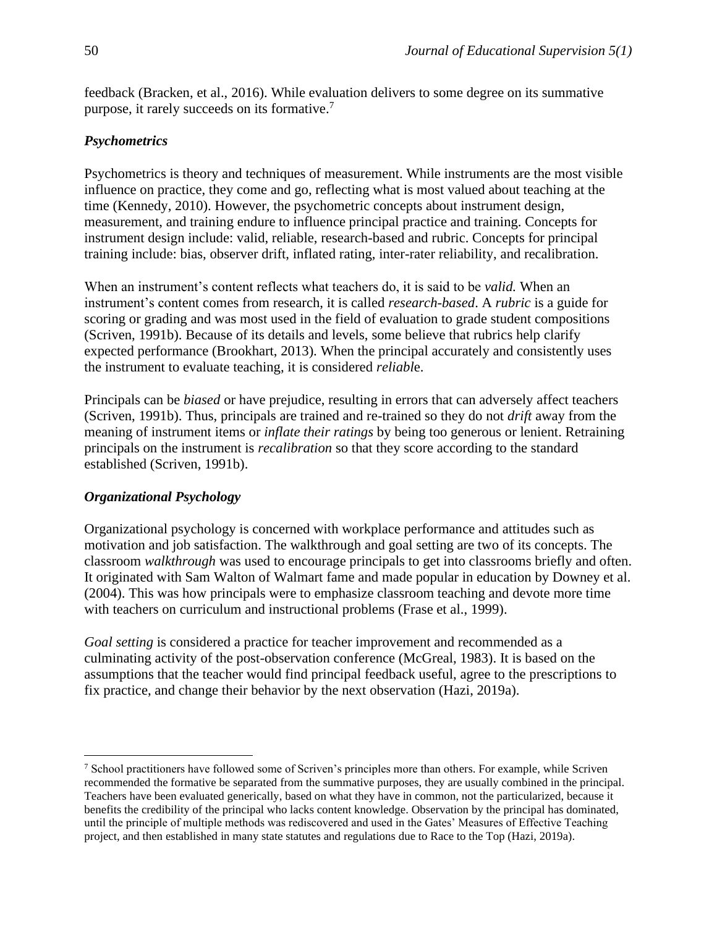feedback (Bracken, et al., 2016). While evaluation delivers to some degree on its summative purpose, it rarely succeeds on its formative. 7

#### *Psychometrics*

Psychometrics is theory and techniques of measurement. While instruments are the most visible influence on practice, they come and go, reflecting what is most valued about teaching at the time (Kennedy, 2010). However, the psychometric concepts about instrument design, measurement, and training endure to influence principal practice and training. Concepts for instrument design include: valid, reliable, research-based and rubric. Concepts for principal training include: bias, observer drift, inflated rating, inter-rater reliability, and recalibration.

When an instrument's content reflects what teachers do, it is said to be *valid.* When an instrument's content comes from research, it is called *research-based*. A *rubric* is a guide for scoring or grading and was most used in the field of evaluation to grade student compositions (Scriven, 1991b). Because of its details and levels, some believe that rubrics help clarify expected performance (Brookhart, 2013). When the principal accurately and consistently uses the instrument to evaluate teaching, it is considered *reliabl*e.

Principals can be *biased* or have prejudice, resulting in errors that can adversely affect teachers (Scriven, 1991b). Thus, principals are trained and re-trained so they do not *drift* away from the meaning of instrument items or *inflate their ratings* by being too generous or lenient. Retraining principals on the instrument is *recalibration* so that they score according to the standard established (Scriven, 1991b).

#### *Organizational Psychology*

Organizational psychology is concerned with workplace performance and attitudes such as motivation and job satisfaction. The walkthrough and goal setting are two of its concepts. The classroom *walkthrough* was used to encourage principals to get into classrooms briefly and often. It originated with Sam Walton of Walmart fame and made popular in education by Downey et al. (2004). This was how principals were to emphasize classroom teaching and devote more time with teachers on curriculum and instructional problems (Frase et al., 1999).

*Goal setting* is considered a practice for teacher improvement and recommended as a culminating activity of the post-observation conference (McGreal, 1983). It is based on the assumptions that the teacher would find principal feedback useful, agree to the prescriptions to fix practice, and change their behavior by the next observation (Hazi, 2019a).

<sup>7</sup> School practitioners have followed some of Scriven's principles more than others. For example, while Scriven recommended the formative be separated from the summative purposes, they are usually combined in the principal. Teachers have been evaluated generically, based on what they have in common, not the particularized, because it benefits the credibility of the principal who lacks content knowledge. Observation by the principal has dominated, until the principle of multiple methods was rediscovered and used in the Gates' Measures of Effective Teaching project, and then established in many state statutes and regulations due to Race to the Top (Hazi, 2019a).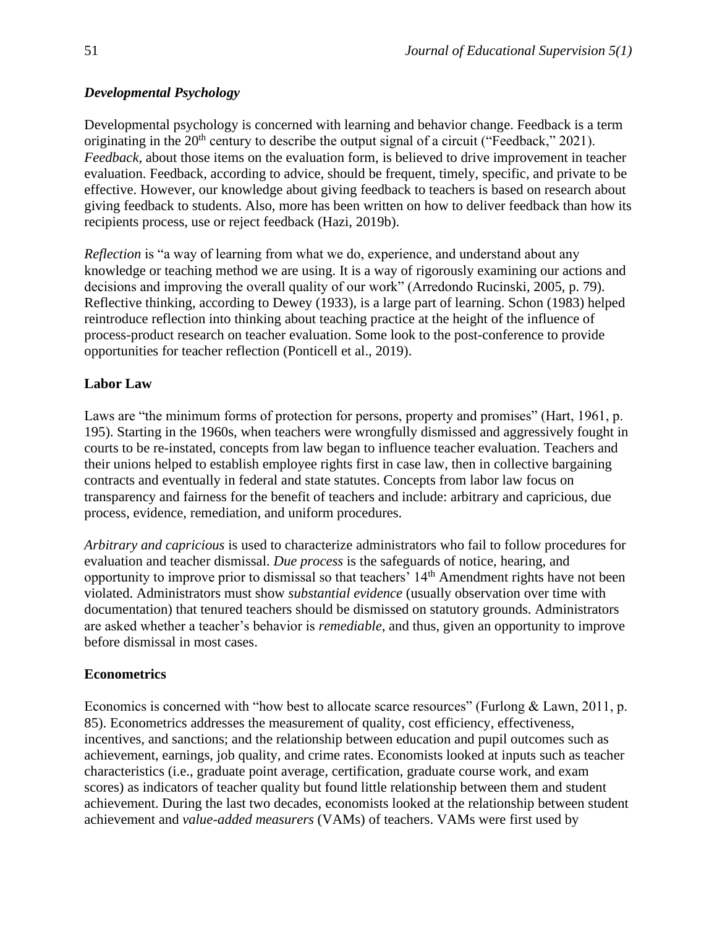#### *Developmental Psychology*

Developmental psychology is concerned with learning and behavior change. Feedback is a term originating in the  $20<sup>th</sup>$  century to describe the output signal of a circuit ("Feedback," 2021). *Feedback,* about those items on the evaluation form, is believed to drive improvement in teacher evaluation. Feedback, according to advice, should be frequent, timely, specific, and private to be effective. However, our knowledge about giving feedback to teachers is based on research about giving feedback to students. Also, more has been written on how to deliver feedback than how its recipients process, use or reject feedback (Hazi, 2019b).

*Reflection* is "a way of learning from what we do, experience, and understand about any knowledge or teaching method we are using. It is a way of rigorously examining our actions and decisions and improving the overall quality of our work" (Arredondo Rucinski, 2005, p. 79). Reflective thinking, according to Dewey (1933), is a large part of learning. Schon (1983) helped reintroduce reflection into thinking about teaching practice at the height of the influence of process-product research on teacher evaluation. Some look to the post-conference to provide opportunities for teacher reflection (Ponticell et al., 2019).

#### **Labor Law**

Laws are "the minimum forms of protection for persons, property and promises" (Hart, 1961, p. 195). Starting in the 1960s, when teachers were wrongfully dismissed and aggressively fought in courts to be re-instated, concepts from law began to influence teacher evaluation. Teachers and their unions helped to establish employee rights first in case law, then in collective bargaining contracts and eventually in federal and state statutes. Concepts from labor law focus on transparency and fairness for the benefit of teachers and include: arbitrary and capricious, due process, evidence, remediation, and uniform procedures.

*Arbitrary and capricious* is used to characterize administrators who fail to follow procedures for evaluation and teacher dismissal. *Due process* is the safeguards of notice, hearing, and opportunity to improve prior to dismissal so that teachers' 14th Amendment rights have not been violated. Administrators must show *substantial evidence* (usually observation over time with documentation) that tenured teachers should be dismissed on statutory grounds. Administrators are asked whether a teacher's behavior is *remediable*, and thus, given an opportunity to improve before dismissal in most cases.

#### **Econometrics**

Economics is concerned with "how best to allocate scarce resources" (Furlong & Lawn, 2011, p. 85). Econometrics addresses the measurement of quality, cost efficiency, effectiveness, incentives, and sanctions; and the relationship between education and pupil outcomes such as achievement, earnings, job quality, and crime rates. Economists looked at inputs such as teacher characteristics (i.e., graduate point average, certification, graduate course work, and exam scores) as indicators of teacher quality but found little relationship between them and student achievement. During the last two decades, economists looked at the relationship between student achievement and *value-added measurers* (VAMs) of teachers. VAMs were first used by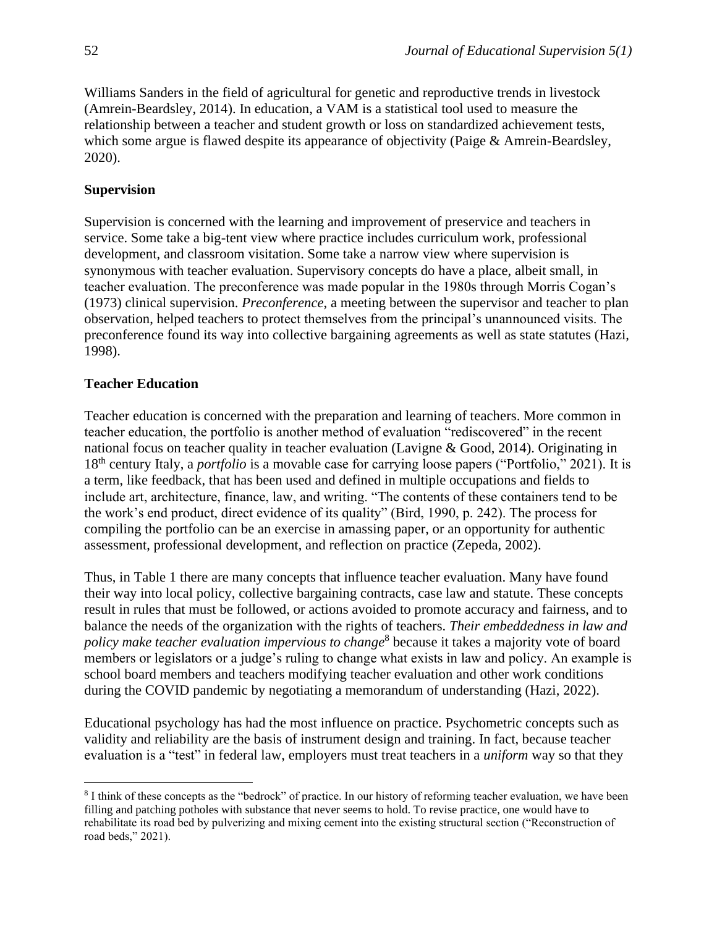Williams Sanders in the field of agricultural for genetic and reproductive trends in livestock (Amrein-Beardsley, 2014). In education, a VAM is a statistical tool used to measure the relationship between a teacher and student growth or loss on standardized achievement tests, which some argue is flawed despite its appearance of objectivity (Paige & Amrein-Beardsley, 2020).

#### **Supervision**

Supervision is concerned with the learning and improvement of preservice and teachers in service. Some take a big-tent view where practice includes curriculum work, professional development, and classroom visitation. Some take a narrow view where supervision is synonymous with teacher evaluation. Supervisory concepts do have a place, albeit small, in teacher evaluation. The preconference was made popular in the 1980s through Morris Cogan's (1973) clinical supervision. *Preconference*, a meeting between the supervisor and teacher to plan observation, helped teachers to protect themselves from the principal's unannounced visits. The preconference found its way into collective bargaining agreements as well as state statutes (Hazi, 1998).

#### **Teacher Education**

Teacher education is concerned with the preparation and learning of teachers. More common in teacher education, the portfolio is another method of evaluation "rediscovered" in the recent national focus on teacher quality in teacher evaluation (Lavigne & Good, 2014). Originating in 18th century Italy, a *portfolio* is a movable case for carrying loose papers ("Portfolio," 2021). It is a term, like feedback, that has been used and defined in multiple occupations and fields to include art, architecture, finance, law, and writing. "The contents of these containers tend to be the work's end product, direct evidence of its quality" (Bird, 1990, p. 242). The process for compiling the portfolio can be an exercise in amassing paper, or an opportunity for authentic assessment, professional development, and reflection on practice (Zepeda, 2002).

Thus, in Table 1 there are many concepts that influence teacher evaluation. Many have found their way into local policy, collective bargaining contracts, case law and statute. These concepts result in rules that must be followed, or actions avoided to promote accuracy and fairness, and to balance the needs of the organization with the rights of teachers. *Their embeddedness in law and policy make teacher evaluation impervious to change* 8 because it takes a majority vote of board members or legislators or a judge's ruling to change what exists in law and policy. An example is school board members and teachers modifying teacher evaluation and other work conditions during the COVID pandemic by negotiating a memorandum of understanding (Hazi, 2022).

Educational psychology has had the most influence on practice. Psychometric concepts such as validity and reliability are the basis of instrument design and training. In fact, because teacher evaluation is a "test" in federal law, employers must treat teachers in a *uniform* way so that they

<sup>&</sup>lt;sup>8</sup> I think of these concepts as the "bedrock" of practice. In our history of reforming teacher evaluation, we have been filling and patching potholes with substance that never seems to hold. To revise practice, one would have to rehabilitate its road bed by pulverizing and mixing cement into the existing structural section ("Reconstruction of road beds," 2021).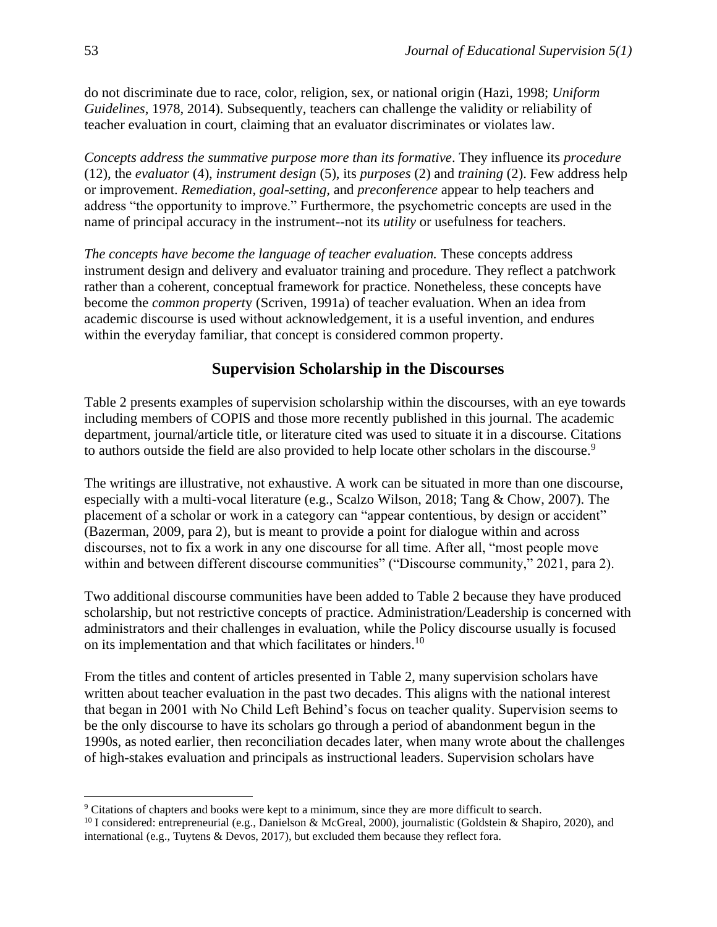do not discriminate due to race, color, religion, sex, or national origin (Hazi, 1998; *Uniform Guidelines*, 1978, 2014). Subsequently, teachers can challenge the validity or reliability of teacher evaluation in court, claiming that an evaluator discriminates or violates law.

*Concepts address the summative purpose more than its formative*. They influence its *procedure* (12), the *evaluator* (4), *instrument design* (5), its *purposes* (2) and *training* (2). Few address help or improvement. *Remediation*, *goal-setting,* and *preconference* appear to help teachers and address "the opportunity to improve." Furthermore, the psychometric concepts are used in the name of principal accuracy in the instrument--not its *utility* or usefulness for teachers.

*The concepts have become the language of teacher evaluation.* These concepts address instrument design and delivery and evaluator training and procedure. They reflect a patchwork rather than a coherent, conceptual framework for practice. Nonetheless, these concepts have become the *common propert*y (Scriven, 1991a) of teacher evaluation. When an idea from academic discourse is used without acknowledgement, it is a useful invention, and endures within the everyday familiar, that concept is considered common property.

## **Supervision Scholarship in the Discourses**

Table 2 presents examples of supervision scholarship within the discourses, with an eye towards including members of COPIS and those more recently published in this journal. The academic department, journal/article title, or literature cited was used to situate it in a discourse. Citations to authors outside the field are also provided to help locate other scholars in the discourse.<sup>9</sup>

The writings are illustrative, not exhaustive. A work can be situated in more than one discourse, especially with a multi-vocal literature (e.g., Scalzo Wilson, 2018; Tang & Chow, 2007). The placement of a scholar or work in a category can "appear contentious, by design or accident" (Bazerman, 2009, para 2), but is meant to provide a point for dialogue within and across discourses, not to fix a work in any one discourse for all time. After all, "most people move within and between different discourse communities" ("Discourse community," 2021, para 2).

Two additional discourse communities have been added to Table 2 because they have produced scholarship, but not restrictive concepts of practice. Administration/Leadership is concerned with administrators and their challenges in evaluation, while the Policy discourse usually is focused on its implementation and that which facilitates or hinders.<sup>10</sup>

From the titles and content of articles presented in Table 2, many supervision scholars have written about teacher evaluation in the past two decades. This aligns with the national interest that began in 2001 with No Child Left Behind's focus on teacher quality. Supervision seems to be the only discourse to have its scholars go through a period of abandonment begun in the 1990s, as noted earlier, then reconciliation decades later, when many wrote about the challenges of high-stakes evaluation and principals as instructional leaders. Supervision scholars have

<sup>9</sup> Citations of chapters and books were kept to a minimum, since they are more difficult to search.

<sup>&</sup>lt;sup>10</sup> I considered: entrepreneurial (e.g., Danielson & McGreal, 2000), journalistic (Goldstein & Shapiro, 2020), and international (e.g., Tuytens & Devos, 2017), but excluded them because they reflect fora.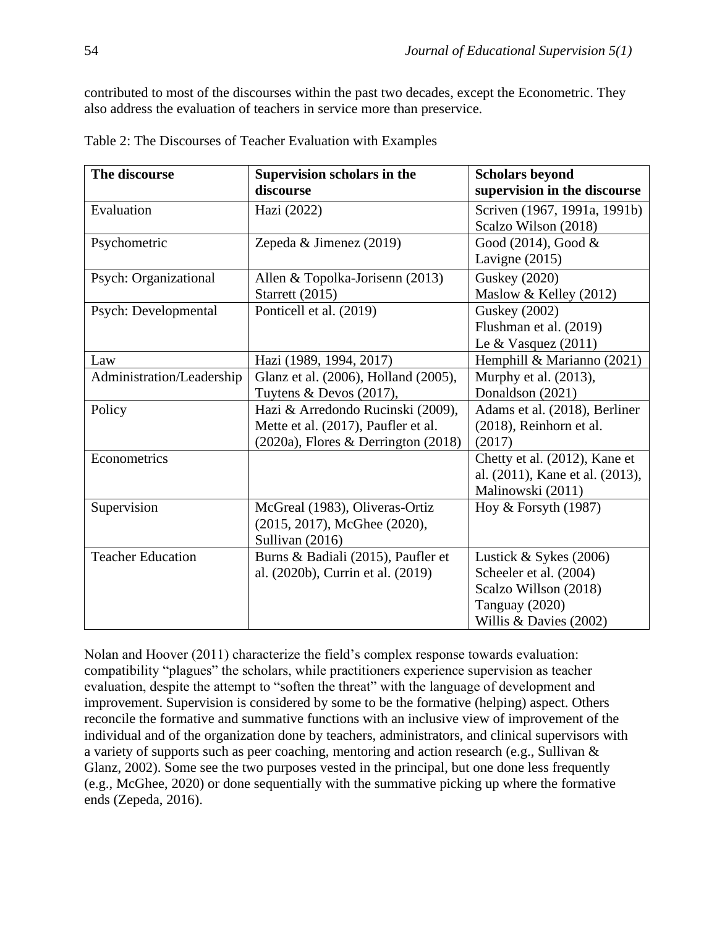contributed to most of the discourses within the past two decades, except the Econometric. They also address the evaluation of teachers in service more than preservice*.*

| The discourse             | Supervision scholars in the              | <b>Scholars beyond</b>          |
|---------------------------|------------------------------------------|---------------------------------|
|                           | discourse                                | supervision in the discourse    |
| Evaluation                | Hazi (2022)                              | Scriven (1967, 1991a, 1991b)    |
|                           |                                          | Scalzo Wilson (2018)            |
| Psychometric              | Zepeda & Jimenez (2019)                  | Good (2014), Good &             |
|                           |                                          | Lavigne $(2015)$                |
| Psych: Organizational     | Allen & Topolka-Jorisenn (2013)          | <b>Guskey (2020)</b>            |
|                           | Starrett (2015)                          | Maslow & Kelley (2012)          |
| Psych: Developmental      | Ponticell et al. (2019)                  | <b>Guskey</b> (2002)            |
|                           |                                          | Flushman et al. (2019)          |
|                           |                                          | Le & Vasquez $(2011)$           |
| Law                       | Hazi (1989, 1994, 2017)                  | Hemphill & Marianno (2021)      |
| Administration/Leadership | Glanz et al. (2006), Holland (2005),     | Murphy et al. (2013),           |
|                           | Tuytens & Devos (2017),                  | Donaldson (2021)                |
| Policy                    | Hazi & Arredondo Rucinski (2009),        | Adams et al. (2018), Berliner   |
|                           | Mette et al. (2017), Paufler et al.      | (2018), Reinhorn et al.         |
|                           | $(2020a)$ , Flores & Derrington $(2018)$ | (2017)                          |
| Econometrics              |                                          | Chetty et al. (2012), Kane et   |
|                           |                                          | al. (2011), Kane et al. (2013), |
|                           |                                          | Malinowski (2011)               |
| Supervision               | McGreal (1983), Oliveras-Ortiz           | Hoy & Forsyth $(1987)$          |
|                           | (2015, 2017), McGhee (2020),             |                                 |
|                           | Sullivan (2016)                          |                                 |
| <b>Teacher Education</b>  | Burns & Badiali (2015), Paufler et       | Lustick $&$ Sykes (2006)        |
|                           | al. (2020b), Currin et al. (2019)        | Scheeler et al. (2004)          |
|                           |                                          | Scalzo Willson (2018)           |
|                           |                                          | Tanguay (2020)                  |
|                           |                                          | Willis & Davies (2002)          |

Table 2: The Discourses of Teacher Evaluation with Examples

Nolan and Hoover (2011) characterize the field's complex response towards evaluation: compatibility "plagues" the scholars, while practitioners experience supervision as teacher evaluation, despite the attempt to "soften the threat" with the language of development and improvement. Supervision is considered by some to be the formative (helping) aspect. Others reconcile the formative and summative functions with an inclusive view of improvement of the individual and of the organization done by teachers, administrators, and clinical supervisors with a variety of supports such as peer coaching, mentoring and action research (e.g., Sullivan & Glanz, 2002). Some see the two purposes vested in the principal, but one done less frequently (e.g., McGhee, 2020) or done sequentially with the summative picking up where the formative ends (Zepeda, 2016).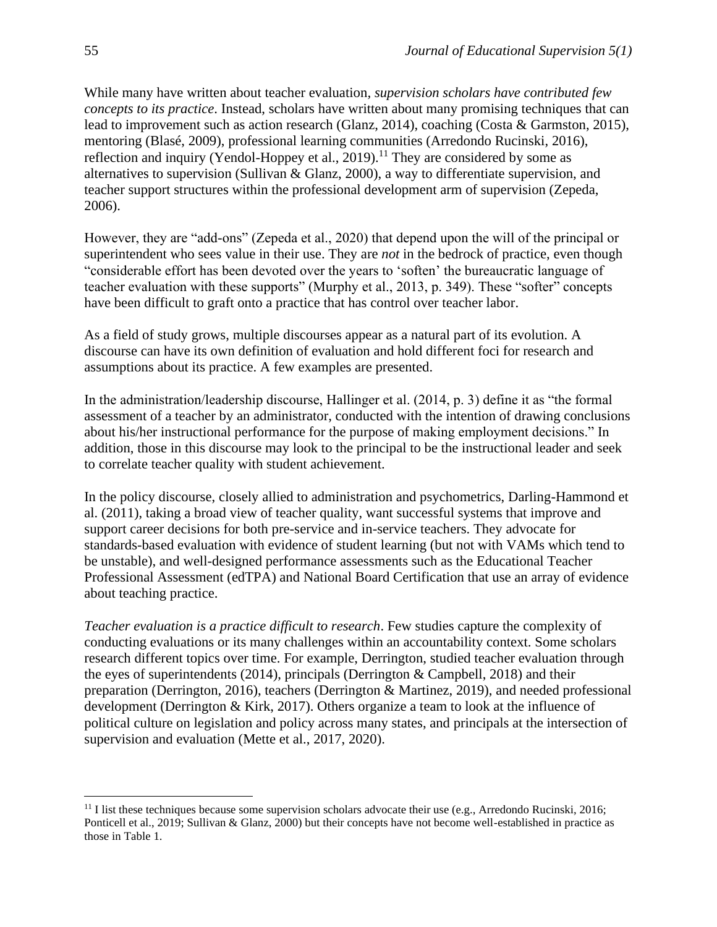While many have written about teacher evaluation*, supervision scholars have contributed few concepts to its practice*. Instead, scholars have written about many promising techniques that can lead to improvement such as action research (Glanz, 2014), coaching (Costa & Garmston, 2015), mentoring (Blasé, 2009), professional learning communities (Arredondo Rucinski, 2016), reflection and inquiry (Yendol-Hoppey et al., 2019).<sup>11</sup> They are considered by some as alternatives to supervision (Sullivan & Glanz, 2000), a way to differentiate supervision, and teacher support structures within the professional development arm of supervision (Zepeda, 2006).

However, they are "add-ons" (Zepeda et al., 2020) that depend upon the will of the principal or superintendent who sees value in their use. They are *not* in the bedrock of practice, even though "considerable effort has been devoted over the years to 'soften' the bureaucratic language of teacher evaluation with these supports" (Murphy et al., 2013, p. 349). These "softer" concepts have been difficult to graft onto a practice that has control over teacher labor.

As a field of study grows, multiple discourses appear as a natural part of its evolution. A discourse can have its own definition of evaluation and hold different foci for research and assumptions about its practice. A few examples are presented.

In the administration/leadership discourse, Hallinger et al. (2014, p. 3) define it as "the formal assessment of a teacher by an administrator, conducted with the intention of drawing conclusions about his/her instructional performance for the purpose of making employment decisions." In addition, those in this discourse may look to the principal to be the instructional leader and seek to correlate teacher quality with student achievement.

In the policy discourse, closely allied to administration and psychometrics, Darling-Hammond et al. (2011), taking a broad view of teacher quality, want successful systems that improve and support career decisions for both pre-service and in-service teachers. They advocate for standards-based evaluation with evidence of student learning (but not with VAMs which tend to be unstable), and well-designed performance assessments such as the Educational Teacher Professional Assessment (edTPA) and National Board Certification that use an array of evidence about teaching practice.

*Teacher evaluation is a practice difficult to research*. Few studies capture the complexity of conducting evaluations or its many challenges within an accountability context. Some scholars research different topics over time. For example, Derrington, studied teacher evaluation through the eyes of superintendents (2014), principals (Derrington & Campbell, 2018) and their preparation (Derrington, 2016), teachers (Derrington & Martinez, 2019), and needed professional development (Derrington & Kirk, 2017). Others organize a team to look at the influence of political culture on legislation and policy across many states, and principals at the intersection of supervision and evaluation (Mette et al., 2017, 2020).

<sup>&</sup>lt;sup>11</sup> I list these techniques because some supervision scholars advocate their use (e.g., Arredondo Rucinski, 2016; Ponticell et al., 2019; Sullivan & Glanz, 2000) but their concepts have not become well-established in practice as those in Table 1.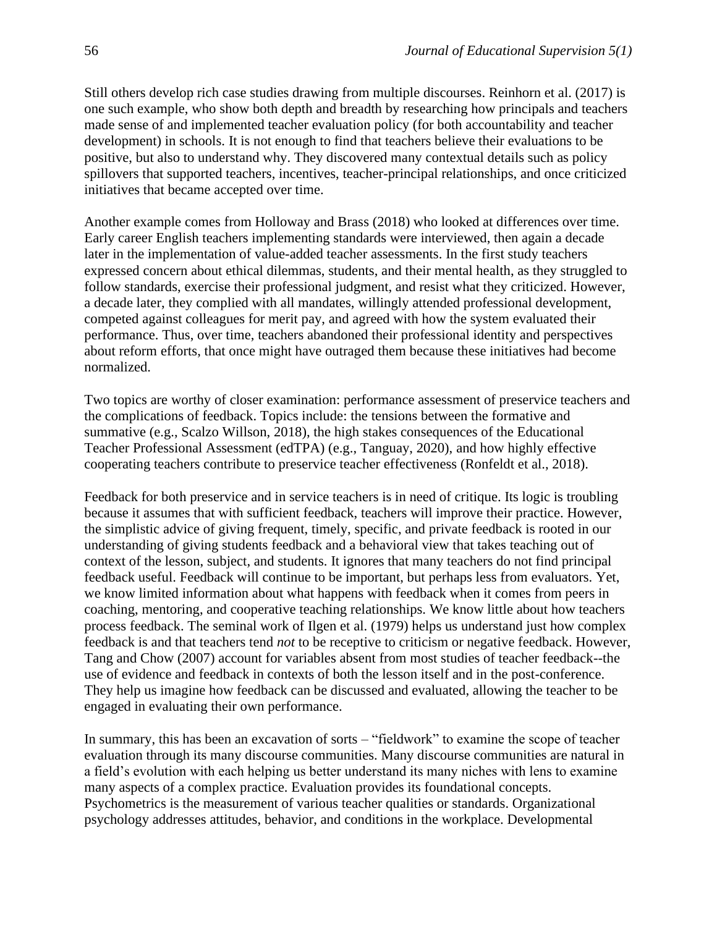Still others develop rich case studies drawing from multiple discourses. Reinhorn et al. (2017) is one such example, who show both depth and breadth by researching how principals and teachers made sense of and implemented teacher evaluation policy (for both accountability and teacher development) in schools. It is not enough to find that teachers believe their evaluations to be positive, but also to understand why. They discovered many contextual details such as policy spillovers that supported teachers, incentives, teacher-principal relationships, and once criticized initiatives that became accepted over time.

Another example comes from Holloway and Brass (2018) who looked at differences over time. Early career English teachers implementing standards were interviewed, then again a decade later in the implementation of value-added teacher assessments. In the first study teachers expressed concern about ethical dilemmas, students, and their mental health, as they struggled to follow standards, exercise their professional judgment, and resist what they criticized. However, a decade later, they complied with all mandates, willingly attended professional development, competed against colleagues for merit pay, and agreed with how the system evaluated their performance. Thus, over time, teachers abandoned their professional identity and perspectives about reform efforts, that once might have outraged them because these initiatives had become normalized.

Two topics are worthy of closer examination: performance assessment of preservice teachers and the complications of feedback. Topics include: the tensions between the formative and summative (e.g., Scalzo Willson, 2018), the high stakes consequences of the Educational Teacher Professional Assessment (edTPA) (e.g., Tanguay, 2020), and how highly effective cooperating teachers contribute to preservice teacher effectiveness (Ronfeldt et al., 2018).

Feedback for both preservice and in service teachers is in need of critique. Its logic is troubling because it assumes that with sufficient feedback, teachers will improve their practice. However, the simplistic advice of giving frequent, timely, specific, and private feedback is rooted in our understanding of giving students feedback and a behavioral view that takes teaching out of context of the lesson, subject, and students. It ignores that many teachers do not find principal feedback useful. Feedback will continue to be important, but perhaps less from evaluators. Yet, we know limited information about what happens with feedback when it comes from peers in coaching, mentoring, and cooperative teaching relationships. We know little about how teachers process feedback. The seminal work of Ilgen et al. (1979) helps us understand just how complex feedback is and that teachers tend *not* to be receptive to criticism or negative feedback. However, Tang and Chow (2007) account for variables absent from most studies of teacher feedback--the use of evidence and feedback in contexts of both the lesson itself and in the post-conference. They help us imagine how feedback can be discussed and evaluated, allowing the teacher to be engaged in evaluating their own performance.

In summary, this has been an excavation of sorts – "fieldwork" to examine the scope of teacher evaluation through its many discourse communities. Many discourse communities are natural in a field's evolution with each helping us better understand its many niches with lens to examine many aspects of a complex practice. Evaluation provides its foundational concepts. Psychometrics is the measurement of various teacher qualities or standards. Organizational psychology addresses attitudes, behavior, and conditions in the workplace. Developmental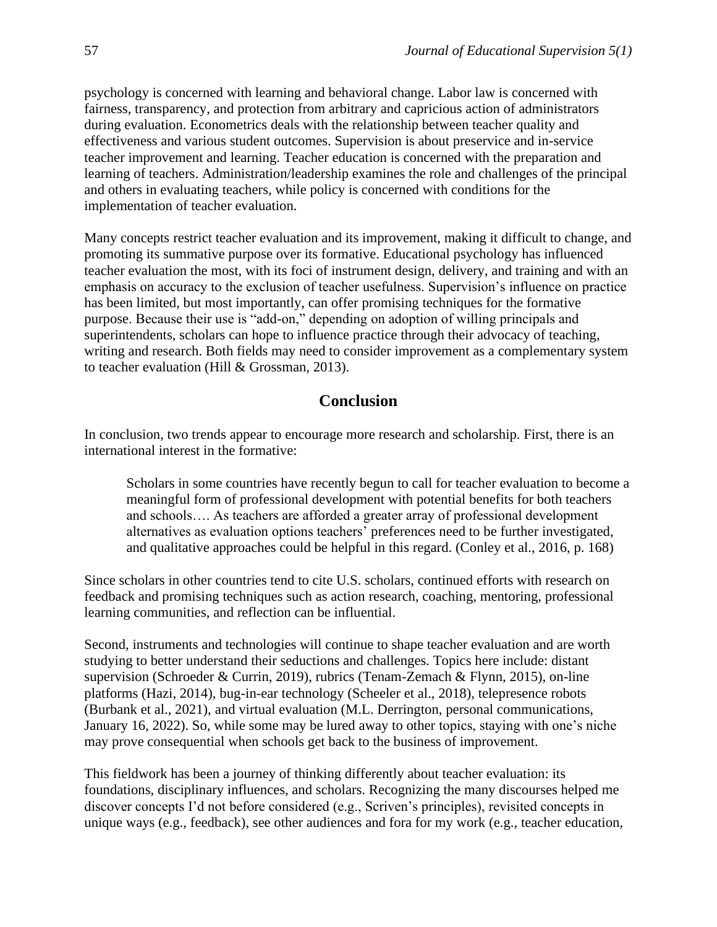psychology is concerned with learning and behavioral change. Labor law is concerned with fairness, transparency, and protection from arbitrary and capricious action of administrators during evaluation. Econometrics deals with the relationship between teacher quality and effectiveness and various student outcomes. Supervision is about preservice and in-service teacher improvement and learning. Teacher education is concerned with the preparation and learning of teachers. Administration/leadership examines the role and challenges of the principal and others in evaluating teachers, while policy is concerned with conditions for the implementation of teacher evaluation.

Many concepts restrict teacher evaluation and its improvement, making it difficult to change, and promoting its summative purpose over its formative. Educational psychology has influenced teacher evaluation the most, with its foci of instrument design, delivery, and training and with an emphasis on accuracy to the exclusion of teacher usefulness. Supervision's influence on practice has been limited, but most importantly, can offer promising techniques for the formative purpose. Because their use is "add-on," depending on adoption of willing principals and superintendents, scholars can hope to influence practice through their advocacy of teaching, writing and research. Both fields may need to consider improvement as a complementary system to teacher evaluation (Hill & Grossman, 2013).

# **Conclusion**

In conclusion, two trends appear to encourage more research and scholarship. First, there is an international interest in the formative:

Scholars in some countries have recently begun to call for teacher evaluation to become a meaningful form of professional development with potential benefits for both teachers and schools…. As teachers are afforded a greater array of professional development alternatives as evaluation options teachers' preferences need to be further investigated, and qualitative approaches could be helpful in this regard. (Conley et al., 2016, p. 168)

Since scholars in other countries tend to cite U.S. scholars, continued efforts with research on feedback and promising techniques such as action research, coaching, mentoring, professional learning communities, and reflection can be influential.

Second, instruments and technologies will continue to shape teacher evaluation and are worth studying to better understand their seductions and challenges. Topics here include: distant supervision (Schroeder & Currin, 2019), rubrics (Tenam-Zemach & Flynn, 2015), on-line platforms (Hazi, 2014), bug-in-ear technology (Scheeler et al., 2018), telepresence robots (Burbank et al., 2021), and virtual evaluation (M.L. Derrington, personal communications, January 16, 2022). So, while some may be lured away to other topics, staying with one's niche may prove consequential when schools get back to the business of improvement.

This fieldwork has been a journey of thinking differently about teacher evaluation: its foundations, disciplinary influences, and scholars. Recognizing the many discourses helped me discover concepts I'd not before considered (e.g., Scriven's principles), revisited concepts in unique ways (e.g., feedback), see other audiences and fora for my work (e.g., teacher education,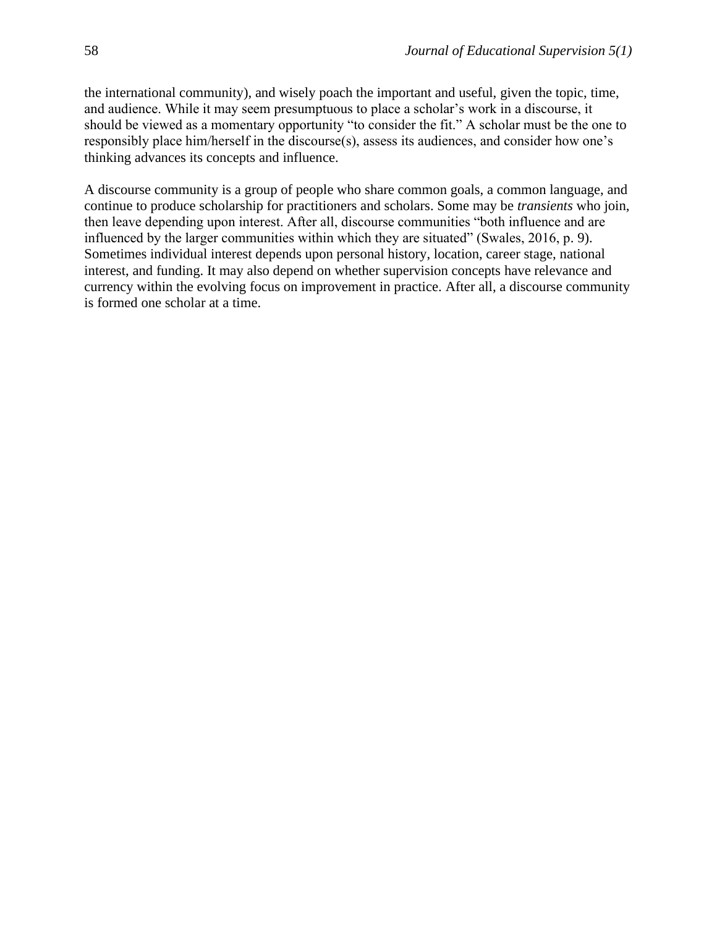the international community), and wisely poach the important and useful, given the topic, time, and audience. While it may seem presumptuous to place a scholar's work in a discourse, it should be viewed as a momentary opportunity "to consider the fit." A scholar must be the one to responsibly place him/herself in the discourse(s), assess its audiences, and consider how one's thinking advances its concepts and influence.

A discourse community is a group of people who share common goals, a common language, and continue to produce scholarship for practitioners and scholars. Some may be *transients* who join, then leave depending upon interest. After all, discourse communities "both influence and are influenced by the larger communities within which they are situated" (Swales, 2016, p. 9). Sometimes individual interest depends upon personal history, location, career stage, national interest, and funding. It may also depend on whether supervision concepts have relevance and currency within the evolving focus on improvement in practice. After all, a discourse community is formed one scholar at a time.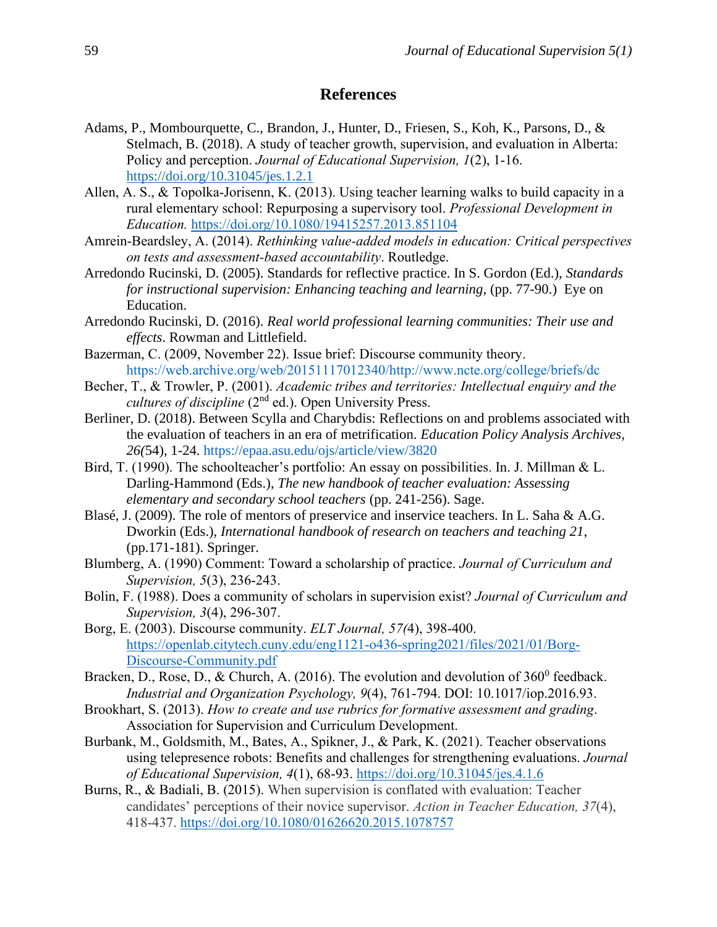#### **References**

- Adams, P., Mombourquette, C., Brandon, J., Hunter, D., Friesen, S., Koh, K., Parsons, D., & Stelmach, B. (2018). A study of teacher growth, supervision, and evaluation in Alberta: Policy and perception. *Journal of Educational Supervision, 1*(2), 1-16. <https://doi.org/10.31045/jes.1.2.1>
- Allen, A. S., & Topolka-Jorisenn, K. (2013). Using teacher learning walks to build capacity in a rural elementary school: Repurposing a supervisory tool. *Professional Development in Education.* <https://doi.org/10.1080/19415257.2013.851104>
- Amrein-Beardsley, A. (2014). *Rethinking value-added models in education: Critical perspectives on tests and assessment-based accountability*. Routledge.
- Arredondo Rucinski, D. (2005). Standards for reflective practice. In S. Gordon (Ed.), *Standards for instructional supervision: Enhancing teaching and learning*, (pp. 77-90.) Eye on Education.
- Arredondo Rucinski, D. (2016). *Real world professional learning communities: Their use and effects*. Rowman and Littlefield.
- Bazerman, C. (2009, November 22). Issue brief: Discourse community theory. [https://web.archive.org/web/20151117012340/http://www.ncte.org/college/briefs/dc](https://web.archive.org/web/20151117012340/http:/www.ncte.org/college/briefs/dc)
- Becher, T., & Trowler, P. (2001). *Academic tribes and territories: Intellectual enquiry and the cultures of discipline* (2<sup>nd</sup> ed.). Open University Press.
- Berliner, D. (2018). Between Scylla and Charybdis: Reflections on and problems associated with the evaluation of teachers in an era of metrification. *Education Policy Analysis Archives, 26(*54), 1-24.<https://epaa.asu.edu/ojs/article/view/3820>
- Bird, T. (1990). The schoolteacher's portfolio: An essay on possibilities. In. J. Millman & L. Darling-Hammond (Eds.), *The new handbook of teacher evaluation: Assessing elementary and secondary school teachers* (pp. 241-256). Sage.
- Blasé, J. (2009). The role of mentors of preservice and inservice teachers. In L. Saha & A.G. Dworkin (Eds.), *International handbook of research on teachers and teaching 21*, (pp.171-181). Springer.
- Blumberg, A. (1990) Comment: Toward a scholarship of practice. *Journal of Curriculum and Supervision, 5*(3), 236-243.
- Bolin, F. (1988). Does a community of scholars in supervision exist? *Journal of Curriculum and Supervision, 3*(4), 296-307.
- Borg, E. (2003). Discourse community. *ELT Journal, 57(*4), 398-400. [https://openlab.citytech.cuny.edu/eng1121-o436-spring2021/files/2021/01/Borg-](https://openlab.citytech.cuny.edu/eng1121-o436-spring2021/files/2021/01/Borg-Discourse-Community.pdf)[Discourse-Community.pdf](https://openlab.citytech.cuny.edu/eng1121-o436-spring2021/files/2021/01/Borg-Discourse-Community.pdf)
- Bracken, D., Rose, D., & Church, A. (2016). The evolution and devolution of  $360^0$  feedback. *Industrial and Organization Psychology, 9*(4), 761-794. DOI: 10.1017/iop.2016.93.
- Brookhart, S. (2013). *How to create and use rubrics for formative assessment and grading*. Association for Supervision and Curriculum Development.
- Burbank, M., Goldsmith, M., Bates, A., Spikner, J., & Park, K. (2021). Teacher observations using telepresence robots: Benefits and challenges for strengthening evaluations. *Journal of Educational Supervision, 4*(1), 68-93.<https://doi.org/10.31045/jes.4.1.6>
- Burns, R., & Badiali, B. (2015). When supervision is conflated with evaluation: Teacher candidates' perceptions of their novice supervisor. *Action in Teacher Education, 37*(4), 418-437.<https://doi.org/10.1080/01626620.2015.1078757>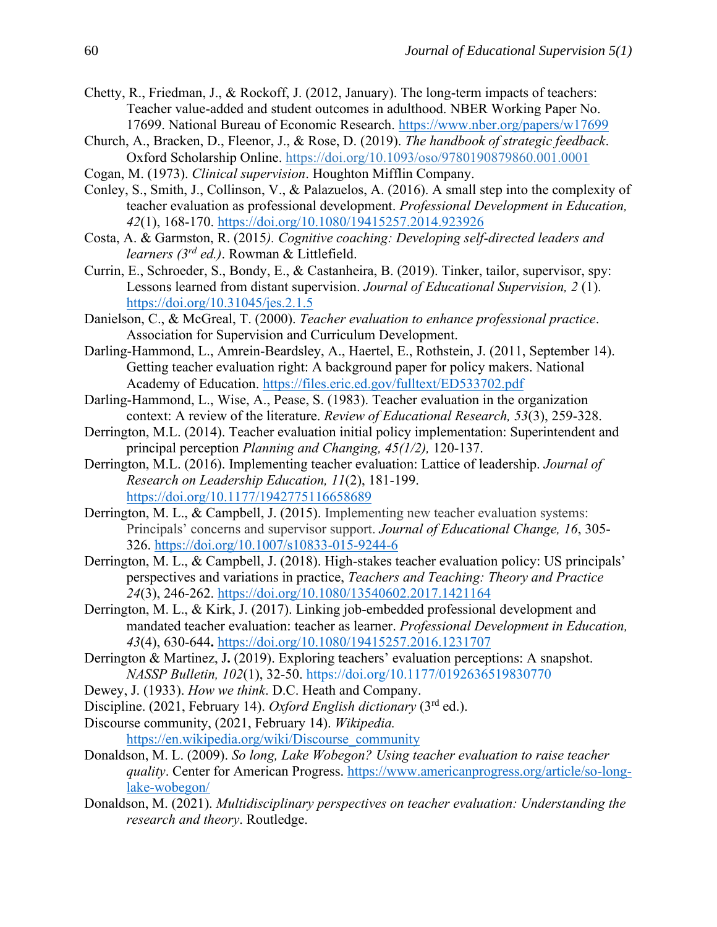- Chetty, R., Friedman, J., & Rockoff, J. (2012, January). The long-term impacts of teachers: Teacher value-added and student outcomes in adulthood. NBER Working Paper No. 17699. National Bureau of Economic Research.<https://www.nber.org/papers/w17699>
- Church, A., Bracken, D., Fleenor, J., & Rose, D. (2019). *The [handbook of strategic feedback](https://oxford-universitypressscholarship-com.wvu.idm.oclc.org/view/10.1093/oso/9780190879860.001.0001/oso-9780190879860)*. Oxford Scholarship Online. <https://doi.org/10.1093/oso/9780190879860.001.0001>
- Cogan, M. (1973). *Clinical supervision*. Houghton Mifflin Company.
- Conley, S., Smith, J., Collinson, V., & Palazuelos, A. (2016). A small step into the complexity of teacher evaluation as professional development. *Professional Development in Education, 42*(1), 168-170.<https://doi.org/10.1080/19415257.2014.923926>
- Costa, A. & Garmston, R. (2015*). Cognitive coaching: Developing self-directed leaders and learners (3rd ed.)*. Rowman & Littlefield.
- Currin, E., Schroeder, S., Bondy, E., & Castanheira, B. (2019). Tinker, tailor, supervisor, spy: Lessons learned from distant supervision. *Journal of Educational Supervision, 2* (1). <https://doi.org/10.31045/jes.2.1.5>
- Danielson, C., & McGreal, T. (2000). *Teacher evaluation to enhance professional practice*. Association for Supervision and Curriculum Development.
- Darling-Hammond, L., Amrein-Beardsley, A., Haertel, E., Rothstein, J. (2011, September 14). Getting teacher evaluation right: A background paper for policy makers. National Academy of Education.<https://files.eric.ed.gov/fulltext/ED533702.pdf>
- Darling-Hammond, L., Wise, A., Pease, S. (1983). Teacher evaluation in the organization context: A review of the literature. *Review of Educational Research, 53*(3), 259-328.
- Derrington, M.L. (2014). Teacher evaluation initial policy implementation: Superintendent and principal perception *[Planning and Changing,](https://search.proquest.com/pubidlinkhandler/sng/pubtitle/Planning+and+Changing/$N/47169/OpenView/1719260925/$B/580832073A2E4865PQ/1;jsessionid=E59EA4820B3608B1F6D2D8FF798254AC.i-0a8d1e82565de1bd9) [45\(1/2\),](https://search.proquest.com/indexingvolumeissuelinkhandler/47169/Planning+and+Changing/02014Y04Y01$23Spring+2014$3b++Vol.+45+$281$2f2$29/45/1$2f2;jsessionid=E59EA4820B3608B1F6D2D8FF798254AC.i-0a8d1e82565de1bd9)* 120-137.
- Derrington, M.L. (2016). Implementing teacher evaluation: Lattice of leadership. *Journal of Research on Leadership Education, 11*(2), 181-199. <https://doi.org/10.1177/1942775116658689>
- Derrington, M. L., & Campbell, J. (2015). Implementing new teacher evaluation systems: Principals' concerns and supervisor support. *Journal of Educational Change, 16*, 305- 326.<https://doi.org/10.1007/s10833-015-9244-6>
- Derrington, M. L., & Campbell, J. (2018). High-stakes teacher evaluation policy: US principals' perspectives and variations in practice, *Teachers and Teaching: Theory and Practice 24*(3), 246-262.<https://doi.org/10.1080/13540602.2017.1421164>
- [Derrington,](https://www.tandfonline.com/author/Derrington%2C+Mary+Lynne) M. L., & [Kirk,](https://www.tandfonline.com/author/Kirk%2C+Julia) J. (2017). Linking job-embedded professional development and mandated teacher evaluation: teacher as learner. *[Professional Development in Education,](https://www.tandfonline.com/toc/rjie20/current)  43*(4), 630-644**.** <https://doi.org/10.1080/19415257.2016.1231707>
- Derrington & Martinez, J**.** (2019). Exploring teachers' evaluation perceptions: A snapshot. *NASSP Bulletin, 102*(1), 32-50. [https://doi.org/10.1177/0192636519830770](https://doi.org/10.1177%2F0192636519830770)
- Dewey, J. (1933). *How we think*. D.C. Heath and Company.
- Discipline. (2021, February 14). *Oxford English dictionary* (3<sup>rd</sup> ed.).
- Discourse community, (2021, February 14). *Wikipedia.* [https://en.wikipedia.org/wiki/Discourse\\_community](https://en.wikipedia.org/wiki/Discourse_community)
- Donaldson, M. L. (2009). *So long, Lake Wobegon? Using teacher evaluation to raise teacher quality*. Center for American Progress. [https://www.americanprogress.org/article/so-long](https://www.americanprogress.org/article/so-long-lake-wobegon/)[lake-wobegon/](https://www.americanprogress.org/article/so-long-lake-wobegon/)
- Donaldson, M. (2021). *Multidisciplinary perspectives on teacher evaluation: Understanding the research and theory*. Routledge.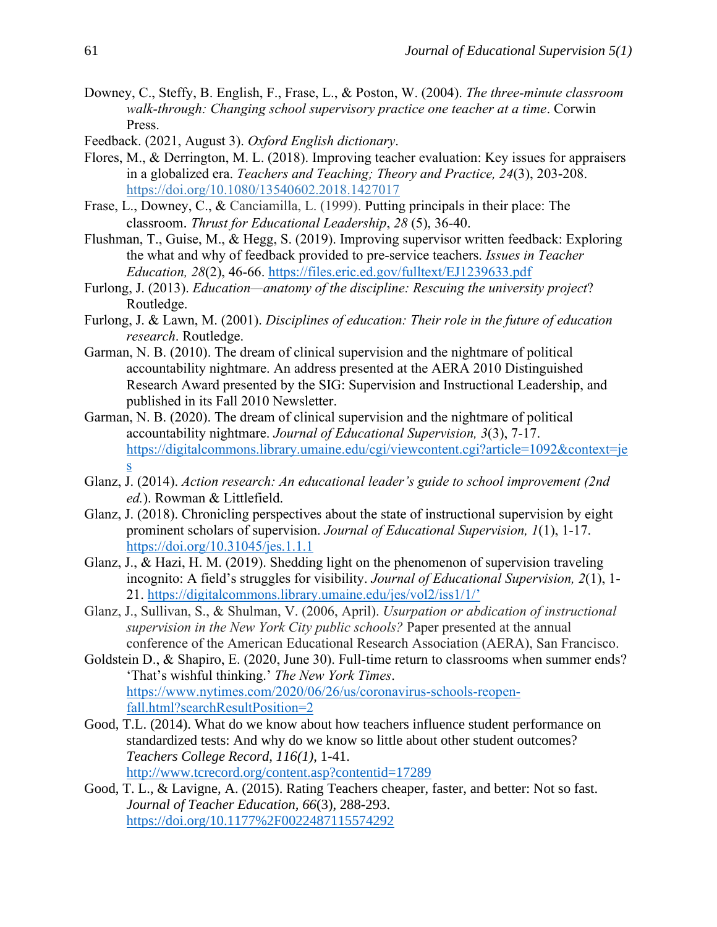- Downey, C., Steffy, B. English, F., Frase, L., & Poston, W. (2004). *The three-minute classroom walk-through: Changing school supervisory practice one teacher at a time*. Corwin Press.
- Feedback. (2021, August 3). *Oxford English dictionary*.
- Flores, M., & Derrington, M. L. (2018). Improving teacher evaluation: Key issues for appraisers in a globalized era. *Teachers and Teaching; Theory and Practice, 24*(3), 203-208. <https://doi.org/10.1080/13540602.2018.1427017>
- Frase, L., Downey, C., & Canciamilla, L. (1999). Putting principals in their place: The classroom. *Thrust for Educational Leadership*, *28* (5), 36-40.
- Flushman, T., Guise, M., & Hegg, S. (2019). Improving supervisor written feedback: Exploring the what and why of feedback provided to pre-service teachers. *Issues in Teacher Education, 28*(2), 46-66. <https://files.eric.ed.gov/fulltext/EJ1239633.pdf>
- Furlong, J. (2013). *Education—anatomy of the discipline: Rescuing the university project*? Routledge.
- Furlong, J. & Lawn, M. (2001). *Disciplines of education: Their role in the future of education research*. Routledge.
- Garman, N. B. (2010). The dream of clinical supervision and the nightmare of political accountability nightmare. An address presented at the AERA 2010 Distinguished Research Award presented by the SIG: Supervision and Instructional Leadership, and published in its Fall 2010 Newsletter.
- Garman, N. B. (2020). The dream of clinical supervision and the nightmare of political accountability nightmare. *Journal of Educational Supervision, 3*(3), 7-17. [https://digitalcommons.library.umaine.edu/cgi/viewcontent.cgi?article=1092&context=je](https://digitalcommons.library.umaine.edu/cgi/viewcontent.cgi?article=1092&context=jes) [s](https://digitalcommons.library.umaine.edu/cgi/viewcontent.cgi?article=1092&context=jes)
- Glanz, J. (2014). *Action research: An educational leader's guide to school improvement (2nd ed.*). Rowman & Littlefield.
- Glanz, J. (2018). Chronicling perspectives about the state of instructional supervision by eight prominent scholars of supervision. *Journal of Educational Supervision, 1*(1), 1-17. <https://doi.org/10.31045/jes.1.1.1>
- Glanz, J., & Hazi, H. M. (2019). Shedding light on the phenomenon of supervision traveling incognito: A field's struggles for visibility. *Journal of Educational Supervision, 2*(1), 1- 21.<https://digitalcommons.library.umaine.edu/jes/vol2/iss1/1/>'
- Glanz, J., Sullivan, S., & Shulman, V. (2006, April). *Usurpation or abdication of instructional supervision in the New York City public schools?* Paper presented at the annual conference of the American Educational Research Association (AERA), San Francisco.
- Goldstein D., & Shapiro, E. (2020, June 30). Full-time return to classrooms when summer ends? 'That's wishful thinking.' *The New York Times*. [https://www.nytimes.com/2020/06/26/us/coronavirus-schools-reopen](https://www.nytimes.com/2020/06/26/us/coronavirus-schools-reopen-fall.html?searchResultPosition=2)[fall.html?searchResultPosition=2](https://www.nytimes.com/2020/06/26/us/coronavirus-schools-reopen-fall.html?searchResultPosition=2)
- Good, T.L. (2014). What do we know about how teachers influence student performance on standardized tests: And why do we know so little about other student outcomes? *Teachers College Record, 116(1)*, 1-41. <http://www.tcrecord.org/content.asp?contentid=17289>
- Good, T. L., & Lavigne, A. (2015). Rating Teachers cheaper, faster, and better: Not so fast. *Journal of Teacher Education, 66*(3), 288-293. <https://doi.org/10.1177%2F0022487115574292>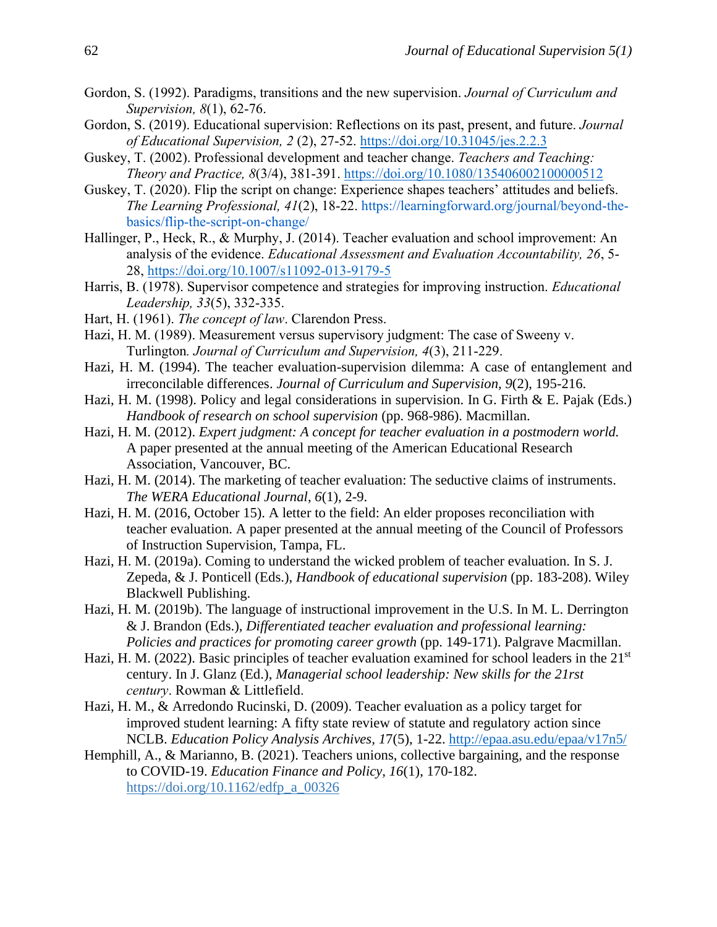- Gordon, S. (1992). Paradigms, transitions and the new supervision. *Journal of Curriculum and Supervision, 8*(1), 62-76.
- Gordon, S. (2019). Educational supervision: Reflections on its past, present, and future. *Journal of Educational Supervision, 2* (2), 27-52. <https://doi.org/10.31045/jes.2.2.3>
- Guskey, T. (2002). Professional development and teacher change. *Teachers and Teaching: Theory and Practice, 8*(3/4), 381-391. <https://doi.org/10.1080/135406002100000512>
- Guskey, T. (2020). Flip the script on change: Experience shapes teachers' attitudes and beliefs. *The Learning Professional, 41*(2), 18-22. [https://learningforward.org/journal/beyond-the](https://learningforward.org/journal/beyond-the-basics/flip-the-script-on-change/)[basics/flip-the-script-on-change/](https://learningforward.org/journal/beyond-the-basics/flip-the-script-on-change/)
- Hallinger, P., Heck, R., & Murphy, J. (2014). Teacher evaluation and school improvement: An analysis of the evidence. *Educational Assessment and Evaluation Accountability, 26*, 5- 28,<https://doi.org/10.1007/s11092-013-9179-5>
- Harris, B. (1978). Supervisor competence and strategies for improving instruction. *Educational Leadership, 33*(5), 332-335.
- Hart, H. (1961). *The concept of law*. Clarendon Press.
- Hazi, H. M. (1989). Measurement versus supervisory judgment: The case of Sweeny v. Turlington*. Journal of Curriculum and Supervision, 4*(3), 211-229.
- Hazi, H. M. (1994). The teacher evaluation-supervision dilemma: A case of entanglement and irreconcilable differences. *Journal of Curriculum and Supervision, 9*(2), 195-216.
- Hazi, H. M. (1998). Policy and legal considerations in supervision. In G. Firth & E. Pajak (Eds.) *Handbook of research on school supervision* (pp. 968-986). Macmillan.
- Hazi, H. M. (2012). *Expert judgment: A concept for teacher evaluation in a postmodern world.* A paper presented at the annual meeting of the American Educational Research Association, Vancouver, BC.
- Hazi, H. M. (2014). The marketing of teacher evaluation: The seductive claims of instruments. *The WERA Educational Journal, 6*(1), 2-9.
- Hazi, H. M. (2016, October 15). A letter to the field: An elder proposes reconciliation with teacher evaluation. A paper presented at the annual meeting of the Council of Professors of Instruction Supervision, Tampa, FL.
- Hazi, H. M. (2019a). Coming to understand the wicked problem of teacher evaluation. In S. J. Zepeda, & J. Ponticell (Eds.), *Handbook of educational supervision* (pp. 183-208). Wiley Blackwell Publishing.
- Hazi, H. M. (2019b). The language of instructional improvement in the U.S. In M. L. Derrington & J. Brandon (Eds.), *Differentiated teacher evaluation and professional learning: Policies and practices for promoting career growth* (pp. 149-171). Palgrave Macmillan.
- Hazi, H. M. (2022). Basic principles of teacher evaluation examined for school leaders in the 21<sup>st</sup> century. In J. Glanz (Ed.), *Managerial school leadership: New skills for the 21rst century*. Rowman & Littlefield.
- Hazi, H. M., & Arredondo Rucinski, D. (2009). Teacher evaluation as a policy target for improved student learning: A fifty state review of statute and regulatory action since NCLB. *Education Policy Analysis Archives, 1*7(5), 1-22.<http://epaa.asu.edu/epaa/v17n5/>
- Hemphill, A., & Marianno, B. (2021). Teachers unions, collective bargaining, and the response to COVID-19. *Education Finance and Policy, 16*(1), 170-182. [https://doi.org/10.1162/edfp\\_a\\_00326](https://doi.org/10.1162/edfp_a_00326)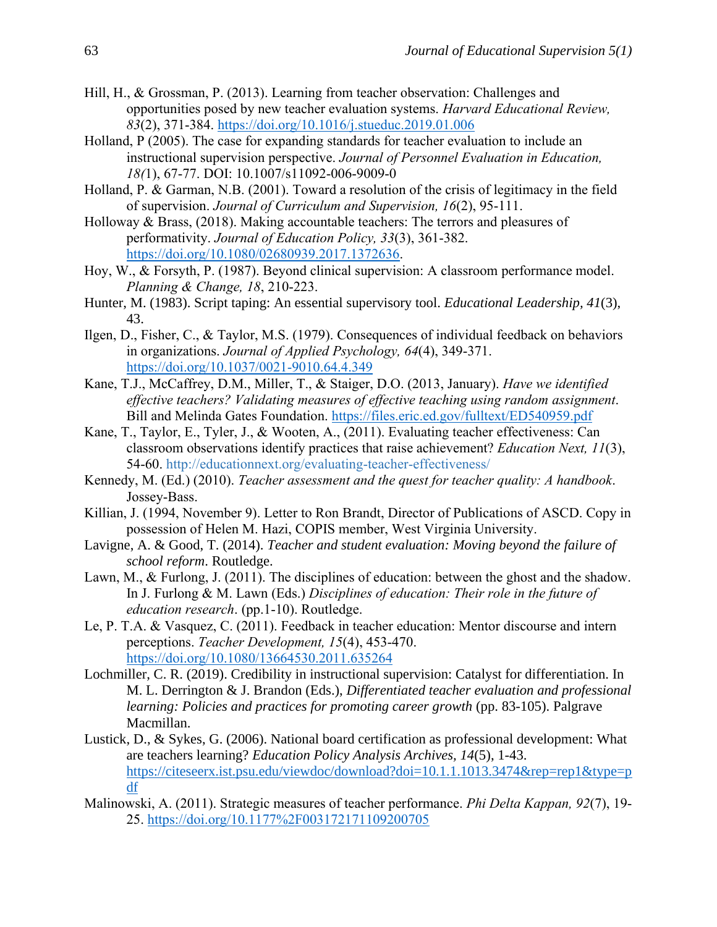- Hill, H., & Grossman, P. (2013). Learning from teacher observation: Challenges and opportunities posed by new teacher evaluation systems. *Harvard Educational Review, 83*(2), 371-384.<https://doi.org/10.1016/j.stueduc.2019.01.006>
- Holland, P (2005). The case for expanding standards for teacher evaluation to include an instructional supervision perspective. *Journal of Personnel Evaluation in Education, 18(*1), 67-77. DOI: 10.1007/s11092-006-9009-0
- Holland, P. & Garman, N.B. (2001). Toward a resolution of the crisis of legitimacy in the field of supervision. *Journal of Curriculum and Supervision, 16*(2), 95-111.
- Holloway & Brass, (2018). Making accountable teachers: The terrors and pleasures of performativity. *Journal of Education Policy, 33*(3), 361-382. [https://doi.org/10.1080/02680939.2017.1372636.](https://doi.org/10.1080/02680939.2017.1372636)
- Hoy, W., & Forsyth, P. (1987). Beyond clinical supervision: A classroom performance model. *Planning & Change, 18*, 210-223.
- Hunter, M. (1983). Script taping: An essential supervisory tool. *Educational Leadership, 41*(3), 43.
- Ilgen, D., Fisher, C., & Taylor, M.S. (1979). Consequences of individual feedback on behaviors in organizations. *Journal of Applied Psychology, 64*(4), 349-371. <https://doi.org/10.1037/0021-9010.64.4.349>
- Kane, T.J., McCaffrey, D.M., Miller, T., & Staiger, D.O. (2013, January). *Have we identified effective teachers? Validating measures of effective teaching using random assignment*. Bill and Melinda Gates Foundation. <https://files.eric.ed.gov/fulltext/ED540959.pdf>
- Kane, T., Taylor, E., Tyler, J., & Wooten, A., (2011). Evaluating teacher effectiveness: Can classroom observations identify practices that raise achievement? *Education Next, 11*(3), 54-60. <http://educationnext.org/evaluating-teacher-effectiveness/>
- Kennedy, M. (Ed.) (2010). *Teacher assessment and the quest for teacher quality: A handbook*. Jossey-Bass.
- Killian, J. (1994, November 9). Letter to Ron Brandt, Director of Publications of ASCD. Copy in possession of Helen M. Hazi, COPIS member, West Virginia University.
- Lavigne, A. & Good, T. (2014). *Teacher and student evaluation: Moving beyond the failure of school reform*. Routledge.
- Lawn, M., & Furlong, J. (2011). The disciplines of education: between the ghost and the shadow. In J. Furlong & M. Lawn (Eds.) *Disciplines of education: Their role in the future of education research*. (pp.1-10). Routledge.
- Le, P. T.A. & Vasquez, C. (2011). Feedback in teacher education: Mentor discourse and intern perceptions. *Teacher Development, 15*(4), 453-470. <https://doi.org/10.1080/13664530.2011.635264>
- Lochmiller, C. R. (2019). Credibility in instructional supervision: Catalyst for differentiation. In M. L. Derrington & J. Brandon (Eds.), *Differentiated teacher evaluation and professional learning: Policies and practices for promoting career growth* (pp. 83-105). Palgrave Macmillan.
- Lustick, D., & Sykes, G. (2006). National board certification as professional development: What are teachers learning? *Education Policy Analysis Archives, 14*(5), 1-43. https://citeseerx.ist.psu.edu/viewdoc/download?doi=10.1.1.1013.3474&rep=rep1&type=p df
- Malinowski, A. (2011). Strategic measures of teacher performance. *Phi Delta Kappan, 92*(7), 19- 25.<https://doi.org/10.1177%2F003172171109200705>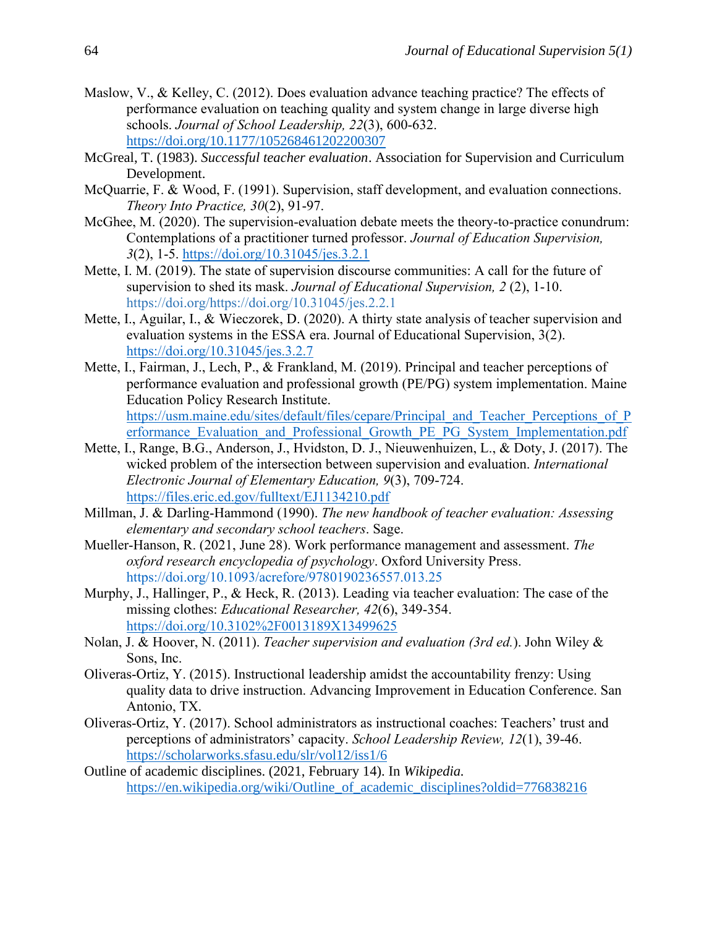- Maslow, V., & Kelley, C. (2012). Does evaluation advance teaching practice? The effects of performance evaluation on teaching quality and system change in large diverse high schools. *Journal of School Leadership, 22*(3), 600-632. [https://doi.org/10.1177/105268461202200307](https://doi.org/10.1177%2F105268461202200307)
- McGreal, T. (1983). *Successful teacher evaluation*. Association for Supervision and Curriculum Development.
- McQuarrie, F. & Wood, F. (1991). Supervision, staff development, and evaluation connections. *Theory Into Practice, 30*(2), 91-97.
- McGhee, M. (2020). The supervision-evaluation debate meets the theory-to-practice conundrum: Contemplations of a practitioner turned professor. *Journal of Education Supervision, 3*(2), 1-5. <https://doi.org/10.31045/jes.3.2.1>
- Mette, I. M. (2019). The state of supervision discourse communities: A call for the future of supervision to shed its mask. *Journal of Educational Supervision, 2* (2), 1-10. [https://doi.org/https://doi.org/10.31045/jes.2.2.1](https://doi.org/https:/doi.org/10.31045/jes.2.2.1)
- Mette, I., Aguilar, I., & Wieczorek, D. (2020). A thirty state analysis of teacher supervision and evaluation systems in the ESSA era. Journal of Educational Supervision, 3(2). <https://doi.org/10.31045/jes.3.2.7>
- Mette, I., Fairman, J., Lech, P., & Frankland, M. (2019). Principal and teacher perceptions of performance evaluation and professional growth (PE/PG) system implementation. Maine Education Policy Research Institute. [https://usm.maine.edu/sites/default/files/cepare/Principal\\_and\\_Teacher\\_Perceptions\\_of\\_P](https://usm.maine.edu/sites/default/files/cepare/Principal_and_Teacher_Perceptions_of_Performance_Evaluation_and_Professional_Growth_PE_PG_System_Implementation.pdf) erformance Evaluation and Professional Growth PE\_PG\_System\_Implementation.pdf
- Mette, I., Range, B.G., Anderson, J., Hvidston, D. J., Nieuwenhuizen, L., & Doty, J. (2017). The wicked problem of the intersection between supervision and evaluation. *International Electronic Journal of Elementary Education, 9*(3), 709-724. <https://files.eric.ed.gov/fulltext/EJ1134210.pdf>
- Millman, J. & Darling-Hammond (1990). *The new handbook of teacher evaluation: Assessing elementary and secondary school teachers*. Sage.
- Mueller-Hanson, R. (2021, June 28). Work performance management and assessment. *The oxford research encyclopedia of psychology*. Oxford University Press. https://doi.org/10.1093/acrefore/9780190236557.013.25
- Murphy, J., Hallinger, P., & Heck, R. (2013). Leading via teacher evaluation: The case of the missing clothes: *Educational Researcher, 42*(6), 349-354. <https://doi.org/10.3102%2F0013189X13499625>
- Nolan, J. & Hoover, N. (2011). *Teacher supervision and evaluation (3rd ed.*). John Wiley & Sons, Inc.
- Oliveras-Ortiz, Y. (2015). Instructional leadership amidst the accountability frenzy: Using quality data to drive instruction. Advancing Improvement in Education Conference. San Antonio, TX.
- Oliveras-Ortiz, Y. (2017). School administrators as instructional coaches: Teachers' trust and perceptions of administrators' capacity. *School Leadership Review, 12*(1), 39-46. <https://scholarworks.sfasu.edu/slr/vol12/iss1/6>
- Outline of academic disciplines. (2021, February 14). In *Wikipedia.* https://en.wikipedia.org/wiki/Outline of academic disciplines?oldid=776838216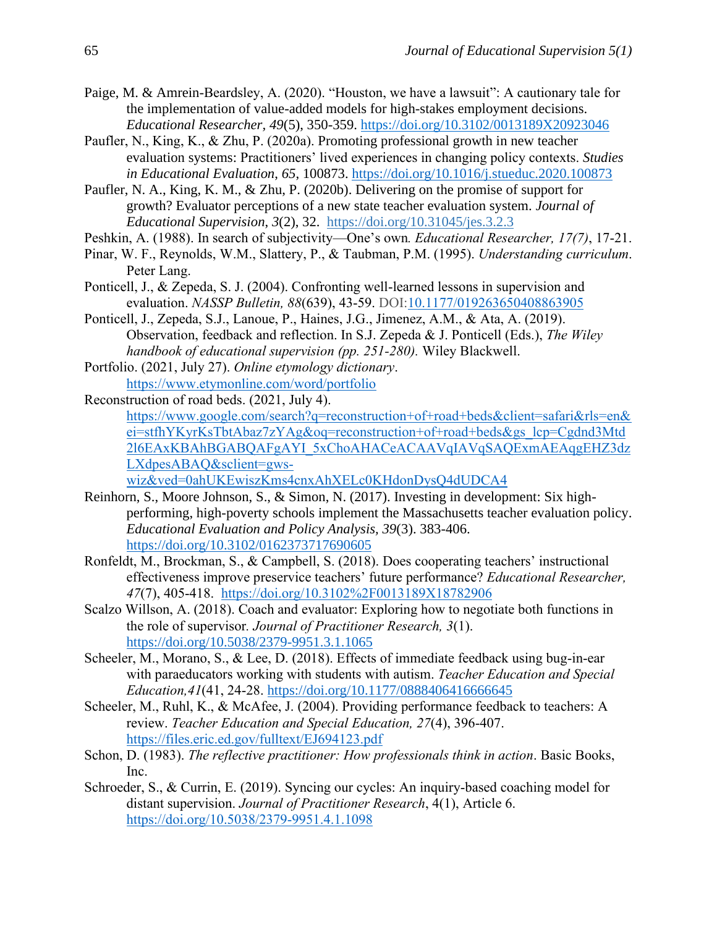- Paige, M. & Amrein-Beardsley, A. (2020). "Houston, we have a lawsuit": A cautionary tale for the implementation of value-added models for high-stakes employment decisions. *Educational Researcher, 49*(5), 350-359. [https://doi.org/10.3102/0013189X20923046](https://doi.org/10.3102%2F0013189X20923046)
- Paufler, N., King, K., & Zhu, P. (2020a). Promoting professional growth in new teacher evaluation systems: Practitioners' lived experiences in changing policy contexts. *Studies in Educational Evaluation*, *65*, 100873.<https://doi.org/10.1016/j.stueduc.2020.100873>
- Paufler, N. A., King, K. M., & Zhu, P. (2020b). Delivering on the promise of support for growth? Evaluator perceptions of a new state teacher evaluation system. *Journal of Educational Supervision*, *3*(2), 32. <https://doi.org/10.31045/jes.3.2.3>
- Peshkin, A. (1988). In search of subjectivity—One's own*. Educational Researcher, 17(7)*, 17-21.
- Pinar, W. F., Reynolds, W.M., Slattery, P., & Taubman, P.M. (1995). *Understanding curriculum*. Peter Lang.
- Ponticell, J., & Zepeda, S. J. (2004). Confronting well-learned lessons in supervision and evaluation. *NASSP Bulletin, 88*(639), 43-59. DOI[:10.1177/019263650408863905](http://dx.doi.org/10.1177/019263650408863905)
- Ponticell, J., Zepeda, S.J., Lanoue, P., Haines, J.G., Jimenez, A.M., & Ata, A. (2019). Observation, feedback and reflection. In S.J. Zepeda & J. Ponticell (Eds.), *The Wiley handbook of educational supervision (pp. 251-280).* Wiley Blackwell.
- Portfolio. (2021, July 27). *Online etymology dictionary*. <https://www.etymonline.com/word/portfolio>
- Reconstruction of road beds. (2021, July 4). https://www.google.com/search?q=reconstruction+of+road+beds&client=safari&rls=en& ei=stfhYKyrKsTbtAbaz7zYAg&oq=reconstruction+of+road+beds&gs\_lcp=Cgdnd3Mtd 2l6EAxKBAhBGABQAFgAYI\_5xChoAHACeACAAVqIAVqSAQExmAEAqgEHZ3dz LXdpesABAQ&sclient=gwswiz&ved=0ahUKEwiszKms4cnxAhXELc0KHdonDysQ4dUDCA4
- Reinhorn, S., Moore Johnson, S., & Simon, N. (2017). Investing in development: Six highperforming, high-poverty schools implement the Massachusetts teacher evaluation policy. *Educational Evaluation and Policy Analysis, 39*(3). 383-406. <https://doi.org/10.3102/0162373717690605>
- Ronfeldt, M., Brockman, S., & Campbell, S. (2018). Does cooperating teachers' instructional effectiveness improve preservice teachers' future performance? *Educational Researcher, 47*(7), 405-418. <https://doi.org/10.3102%2F0013189X18782906>
- Scalzo Willson, A. (2018). Coach and evaluator: Exploring how to negotiate both functions in the role of supervisor*. Journal of Practitioner Research, 3*(1). <https://doi.org/10.5038/2379-9951.3.1.1065>
- Scheeler, M., Morano, S., & Lee, D. (2018). Effects of immediate feedback using bug-in-ear with paraeducators working with students with autism. *Teacher Education and Special Education,41*(41, 24-28. [https://doi.org/10.1177/0888406416666645](https://doi.org/10.1177%2F0888406416666645)
- Scheeler, M., Ruhl, K., & McAfee, J. (2004). Providing performance feedback to teachers: A review. *Teacher Education and Special Education, 27*(4), 396-407. <https://files.eric.ed.gov/fulltext/EJ694123.pdf>
- Schon, D. (1983). *The reflective practitioner: How professionals think in action*. Basic Books, Inc.
- Schroeder, S., & Currin, E. (2019). Syncing our cycles: An inquiry-based coaching model for distant supervision. *Journal of Practitioner Research*, 4(1), Article 6. <https://doi.org/10.5038/2379-9951.4.1.1098>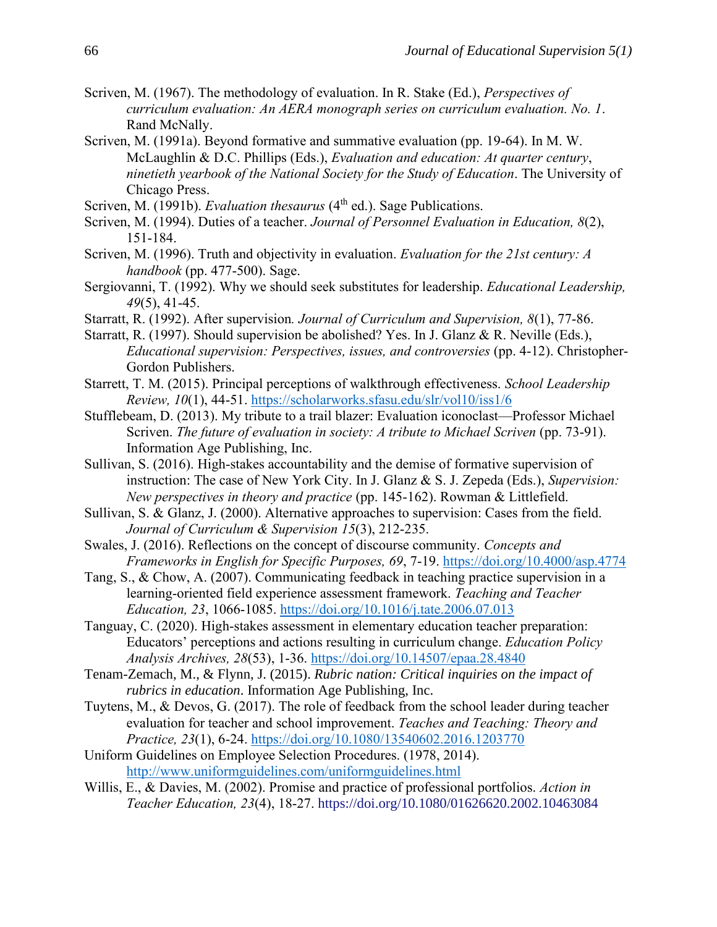- Scriven, M. (1967). The methodology of evaluation. In R. Stake (Ed.), *Perspectives of curriculum evaluation: An AERA monograph series on curriculum evaluation. No. 1*. Rand McNally.
- Scriven, M. (1991a). Beyond formative and summative evaluation (pp. 19-64). In M. W. McLaughlin & D.C. Phillips (Eds.), *Evaluation and education: At quarter century*, *ninetieth yearbook of the National Society for the Study of Education*. The University of Chicago Press.
- Scriven, M. (1991b). *Evaluation thesaurus* (4<sup>th</sup> ed.). Sage Publications.
- Scriven, M. (1994). Duties of a teacher. *Journal of Personnel Evaluation in Education, 8*(2), 151-184.
- Scriven, M. (1996). Truth and objectivity in evaluation. *Evaluation for the 21st century: A handbook* (pp. 477-500). Sage.
- Sergiovanni, T. (1992). Why we should seek substitutes for leadership. *Educational Leadership, 49*(5), 41-45.
- Starratt, R. (1992). After supervision*. Journal of Curriculum and Supervision, 8*(1), 77-86.
- Starratt, R. (1997). Should supervision be abolished? Yes. In J. Glanz & R. Neville (Eds.), *Educational supervision: Perspectives, issues, and controversies* (pp. 4-12). Christopher-Gordon Publishers.
- Starrett, T. M. (2015). Principal perceptions of walkthrough effectiveness. *School Leadership Review, 10*(1), 44-51.<https://scholarworks.sfasu.edu/slr/vol10/iss1/6>
- Stufflebeam, D. (2013). My tribute to a trail blazer: Evaluation iconoclast—Professor Michael Scriven. *The future of evaluation in society: A tribute to Michael Scriven* (pp. 73-91). Information Age Publishing, Inc.
- Sullivan, S. (2016). High-stakes accountability and the demise of formative supervision of instruction: The case of New York City. In J. Glanz & S. J. Zepeda (Eds.), *Supervision: New perspectives in theory and practice* (pp. 145-162). Rowman & Littlefield.
- Sullivan, S. & Glanz, J. (2000). Alternative approaches to supervision: Cases from the field. *Journal of Curriculum & Supervision 15*(3), 212-235.
- Swales, J. (2016). Reflections on the concept of discourse community. *Concepts and Frameworks in English for Specific Purposes, 69*, 7-19.<https://doi.org/10.4000/asp.4774>
- Tang, S., & Chow, A. (2007). Communicating feedback in teaching practice supervision in a learning-oriented field experience assessment framework. *Teaching and Teacher Education, 23*, 1066-1085.<https://doi.org/10.1016/j.tate.2006.07.013>
- Tanguay, C. (2020). High-stakes assessment in elementary education teacher preparation: Educators' perceptions and actions resulting in curriculum change. *Education Policy Analysis Archives, 28*(53), 1-36.<https://doi.org/10.14507/epaa.28.4840>
- Tenam-Zemach, M., & Flynn, J. (2015). *Rubric nation: Critical inquiries on the impact of rubrics in education*. Information Age Publishing, Inc.
- Tuytens, M., & Devos, G. (2017). The role of feedback from the school leader during teacher evaluation for teacher and school improvement. *Teaches and Teaching: Theory and Practice, 23*(1), 6-24.<https://doi.org/10.1080/13540602.2016.1203770>
- Uniform Guidelines on Employee Selection Procedures. (1978, 2014). <http://www.uniformguidelines.com/uniformguidelines.html>
- Willis, E., & Davies, M. (2002). Promise and practice of professional portfolios. *Action in Teacher Education, 23*(4), 18-27. <https://doi.org/10.1080/01626620.2002.10463084>